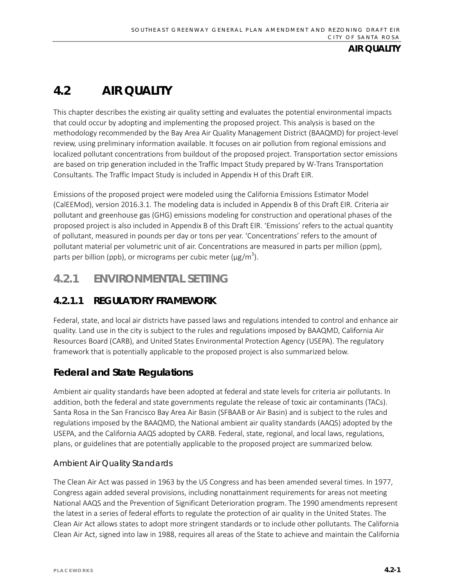# **4.2 AIR QUALITY**

This chapter describes the existing air quality setting and evaluates the potential environmental impacts that could occur by adopting and implementing the proposed project. This analysis is based on the methodology recommended by the Bay Area Air Quality Management District (BAAQMD) for project-level review, using preliminary information available. It focuses on air pollution from regional emissions and localized pollutant concentrations from buildout of the proposed project. Transportation sector emissions are based on trip generation included in the Traffic Impact Study prepared by W-Trans Transportation Consultants. The Traffic Impact Study is included in Appendix H of this Draft EIR.

Emissions of the proposed project were modeled using the California Emissions Estimator Model (CalEEMod), version 2016.3.1. The modeling data is included in Appendix B of this Draft EIR. Criteria air pollutant and greenhouse gas (GHG) emissions modeling for construction and operational phases of the proposed project is also included in Appendix B of this Draft EIR. 'Emissions' refers to the actual quantity of pollutant, measured in pounds per day or tons per year. 'Concentrations' refers to the amount of pollutant material per volumetric unit of air. Concentrations are measured in parts per million (ppm), parts per billion (ppb), or micrograms per cubic meter ( $\mu$ g/m<sup>3</sup>).

# **4.2.1 ENVIRONMENTAL SETTING**

# **4.2.1.1 REGULATORY FRAMEWORK**

Federal, state, and local air districts have passed laws and regulations intended to control and enhance air quality. Land use in the city is subject to the rules and regulations imposed by BAAQMD, California Air Resources Board (CARB), and United States Environmental Protection Agency (USEPA). The regulatory framework that is potentially applicable to the proposed project is also summarized below.

## **Federal and State Regulations**

Ambient air quality standards have been adopted at federal and state levels for criteria air pollutants. In addition, both the federal and state governments regulate the release of toxic air contaminants (TACs). Santa Rosa in the San Francisco Bay Area Air Basin (SFBAAB or Air Basin) and is subject to the rules and regulations imposed by the BAAQMD, the National ambient air quality standards (AAQS) adopted by the USEPA, and the California AAQS adopted by CARB. Federal, state, regional, and local laws, regulations, plans, or guidelines that are potentially applicable to the proposed project are summarized below.

## *Ambient Air Quality Standards*

The Clean Air Act was passed in 1963 by the US Congress and has been amended several times. In 1977, Congress again added several provisions, including nonattainment requirements for areas not meeting National AAQS and the Prevention of Significant Deterioration program. The 1990 amendments represent the latest in a series of federal efforts to regulate the protection of air quality in the United States. The Clean Air Act allows states to adopt more stringent standards or to include other pollutants. The California Clean Air Act, signed into law in 1988, requires all areas of the State to achieve and maintain the California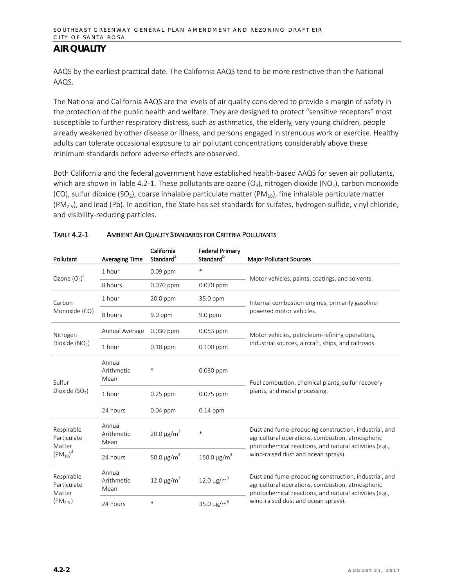AAQS by the earliest practical date. The California AAQS tend to be more restrictive than the National AAQS.

The National and California AAQS are the levels of air quality considered to provide a margin of safety in the protection of the public health and welfare. They are designed to protect "sensitive receptors" most susceptible to further respiratory distress, such as asthmatics, the elderly, very young children, people already weakened by other disease or illness, and persons engaged in strenuous work or exercise. Healthy adults can tolerate occasional exposure to air pollutant concentrations considerably above these minimum standards before adverse effects are observed.

Both California and the federal government have established health-based AAQS for seven air pollutants, which are shown in Table 4.2-1. These pollutants are ozone  $(O_3)$ , nitrogen dioxide  $(NO_2)$ , carbon monoxide (CO), sulfur dioxide (SO<sub>2</sub>), coarse inhalable particulate matter (PM<sub>10</sub>), fine inhalable particulate matter  $(PM_{2.5})$ , and lead (Pb). In addition, the State has set standards for sulfates, hydrogen sulfide, vinyl chloride, and visibility-reducing particles.

| Pollutant                                                   | <b>Averaging Time</b>        | California<br>Standard <sup>a</sup> | <b>Federal Primary</b><br>Standard <sup>b</sup> | <b>Major Pollutant Sources</b>                                                                                                                                      |
|-------------------------------------------------------------|------------------------------|-------------------------------------|-------------------------------------------------|---------------------------------------------------------------------------------------------------------------------------------------------------------------------|
| Ozone $(O_3)^c$                                             | 1 hour                       | $0.09$ ppm                          | $\ast$                                          |                                                                                                                                                                     |
|                                                             | 8 hours                      | $0.070$ ppm                         | 0.070 ppm                                       | Motor vehicles, paints, coatings, and solvents.                                                                                                                     |
| Carbon<br>Monoxide (CO)                                     | 1 hour                       | 20.0 ppm                            | 35.0 ppm                                        | Internal combustion engines, primarily gasoline-                                                                                                                    |
|                                                             | 8 hours                      | $9.0$ ppm                           | $9.0$ ppm                                       | powered motor vehicles.                                                                                                                                             |
| Nitrogen                                                    | Annual Average               | $0.030$ ppm                         | $0.053$ ppm                                     | Motor vehicles, petroleum-refining operations,                                                                                                                      |
| Dioxide (NO <sub>2</sub> )                                  | 1 hour                       | $0.18$ ppm                          | $0.100$ ppm                                     | industrial sources, aircraft, ships, and railroads.                                                                                                                 |
| Sulfur                                                      | Annual<br>Arithmetic<br>Mean | $\ast$                              | 0.030 ppm                                       | Fuel combustion, chemical plants, sulfur recovery                                                                                                                   |
| Dioxide (SO <sub>2</sub> )                                  | 1 hour                       | $0.25$ ppm                          | 0.075 ppm                                       | plants, and metal processing.                                                                                                                                       |
|                                                             | 24 hours                     | $0.04$ ppm                          | $0.14$ ppm                                      |                                                                                                                                                                     |
| Respirable<br>Particulate<br>Matter                         | Annual<br>Arithmetic<br>Mean | $20.0 \,\mu g/m^3$                  | $\ast$                                          | Dust and fume-producing construction, industrial, and<br>agricultural operations, combustion, atmospheric<br>photochemical reactions, and natural activities (e.g., |
| $(PM_{10})^d$                                               | 24 hours                     | 50.0 $\mu$ g/m <sup>3</sup>         | 150.0 $\mu$ g/m <sup>3</sup>                    | wind-raised dust and ocean sprays).                                                                                                                                 |
| Respirable<br>Particulate<br>Matter<br>(PM <sub>2.5</sub> ) | Annual<br>Arithmetic<br>Mean | 12.0 $\mu$ g/m <sup>3</sup>         | 12.0 μg/m <sup>3</sup>                          | Dust and fume-producing construction, industrial, and<br>agricultural operations, combustion, atmospheric<br>photochemical reactions, and natural activities (e.g., |
|                                                             | 24 hours                     | $\ast$                              | 35.0 $\mu$ g/m <sup>3</sup>                     | wind-raised dust and ocean sprays).                                                                                                                                 |

#### TABLE 4.2-1 AMBIENT AIR QUALITY STANDARDS FOR CRITERIA POLLUTANTS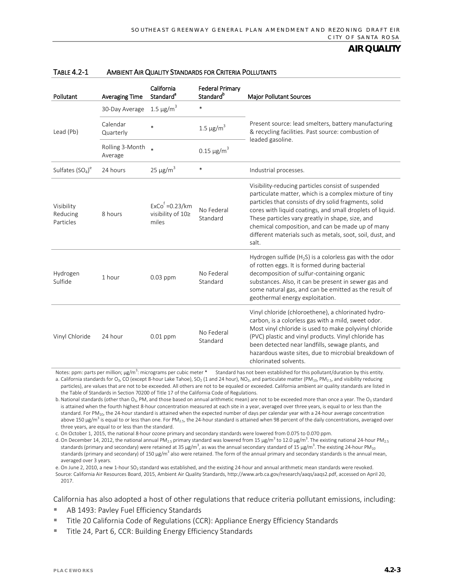| Pollutant                           | <b>Averaging Time</b>      | California<br>Standard <sup>a</sup>             | <b>Federal Primary</b><br>Standard <sup>b</sup> | <b>Major Pollutant Sources</b>                                                                                                                                                                                                                                                                                                                                                                                   |
|-------------------------------------|----------------------------|-------------------------------------------------|-------------------------------------------------|------------------------------------------------------------------------------------------------------------------------------------------------------------------------------------------------------------------------------------------------------------------------------------------------------------------------------------------------------------------------------------------------------------------|
|                                     | 30-Day Average             | $1.5 \,\mu g/m^3$                               | $\ast$                                          |                                                                                                                                                                                                                                                                                                                                                                                                                  |
| Lead (Pb)                           | Calendar<br>Quarterly      | $\ast$                                          | $1.5 \,\mathrm{\upmu g/m}^3$                    | Present source: lead smelters, battery manufacturing<br>& recycling facilities. Past source: combustion of                                                                                                                                                                                                                                                                                                       |
|                                     | Rolling 3-Month<br>Average | $\ast$                                          | $0.15 \,\mu g/m^3$                              | leaded gasoline.                                                                                                                                                                                                                                                                                                                                                                                                 |
| Sulfates $(SO4)e$                   | 24 hours                   | $25 \mu g/m^3$                                  | *                                               | Industrial processes.                                                                                                                                                                                                                                                                                                                                                                                            |
| Visibility<br>Reducing<br>Particles | 8 hours                    | $ExCof = 0.23/km$<br>visibility of 10≥<br>miles | No Federal<br>Standard                          | Visibility-reducing particles consist of suspended<br>particulate matter, which is a complex mixture of tiny<br>particles that consists of dry solid fragments, solid<br>cores with liquid coatings, and small droplets of liquid.<br>These particles vary greatly in shape, size, and<br>chemical composition, and can be made up of many<br>different materials such as metals, soot, soil, dust, and<br>salt. |
| Hydrogen<br>Sulfide                 | 1 hour                     | $0.03$ ppm                                      | No Federal<br>Standard                          | Hydrogen sulfide ( $H_2S$ ) is a colorless gas with the odor<br>of rotten eggs. It is formed during bacterial<br>decomposition of sulfur-containing organic<br>substances. Also, it can be present in sewer gas and<br>some natural gas, and can be emitted as the result of<br>geothermal energy exploitation.                                                                                                  |
| Vinyl Chloride                      | 24 hour                    | $0.01$ ppm                                      | No Federal<br>Standard                          | Vinyl chloride (chloroethene), a chlorinated hydro-<br>carbon, is a colorless gas with a mild, sweet odor.<br>Most vinyl chloride is used to make polyvinyl chloride<br>(PVC) plastic and vinyl products. Vinyl chloride has<br>been detected near landfills, sewage plants, and<br>hazardous waste sites, due to microbial breakdown of<br>chlorinated solvents.                                                |

#### TABLE 4.2-1 AMBIENT AIR QUALITY STANDARDS FOR CRITERIA POLLUTANTS

Notes: ppm: parts per million;  $\mu$ g/m<sup>3</sup>: micrograms per cubic meter \* Standard has not been established for this pollutant/duration by this entity. a. California standards for O<sub>3</sub>, CO (except 8-hour Lake Tahoe), SO<sub>2</sub> (1 and 24 hour), NO<sub>2</sub>, and particulate matter (PM<sub>10</sub>, PM<sub>2.5</sub>, and visibility reducing particles), are values that are not to be exceeded. All others are not to be equaled or exceeded. California ambient air quality standards are listed in the Table of Standards in Section 70200 of Title 17 of the California Code of Regulations.

b. National standards (other than  $O_3$ , PM, and those based on annual arithmetic mean) are not to be exceeded more than once a year. The  $O_3$  standard is attained when the fourth highest 8-hour concentration measured at each site in a year, averaged over three years, is equal to or less than the standard. For PM<sub>10</sub>, the 24-hour standard is attained when the expected number of days per calendar year with a 24-hour average concentration above 150  $\mu$ g/m<sup>3</sup> is equal to or less than one. For PM<sub>2.5</sub>, the 24-hour standard is attained when 98 percent of the daily concentrations, averaged over three years, are equal to or less than the standard.

c. On October 1, 2015, the national 8-hour ozone primary and secondary standards were lowered from 0.075 to 0.070 ppm.

d. On December 14, 2012, the national annual PM<sub>2.5</sub> primary standard was lowered from 15 µg/m<sup>3</sup> to 12.0 µg/m<sup>3</sup>. The existing national 24-hour PM<sub>2.5</sub> standards (primary and secondary) were retained at 35  $\mu$ g/m $^3$ , as was the annual secondary standard of 15  $\mu$ g/m $^3$ . The existing 24-hour PM $_{10}$ standards (primary and secondary) of 150 µg/m<sup>3</sup> also were retained. The form of the annual primary and secondary standards is the annual mean, averaged over 3 years.

e. On June 2, 2010, a new 1-hour SO<sub>2</sub> standard was established, and the existing 24-hour and annual arithmetic mean standards were revoked. Source: California Air Resources Board, 2015, Ambient Air Quality Standards[, http://www.arb.ca.gov/research/aaqs/aaqs2.pdf,](http://www.arb.ca.gov/research/aaqs/aaqs2.pdf) accessed on April 20, 2017.

California has also adopted a host of other regulations that reduce criteria pollutant emissions, including:

- AB 1493: Pavley Fuel Efficiency Standards
- **Title 20 California Code of Regulations (CCR): Appliance Energy Efficiency Standards**
- Title 24, Part 6, CCR: Building Energy Efficiency Standards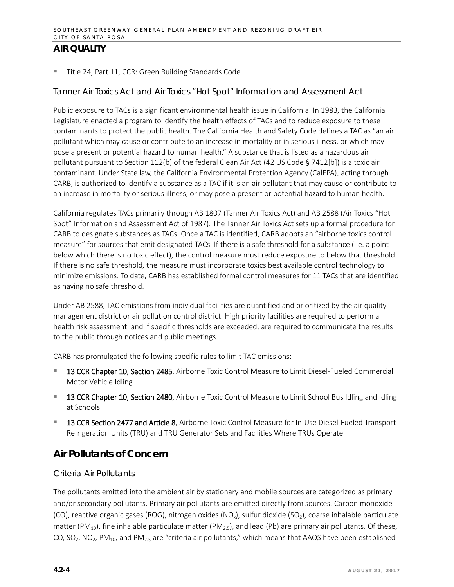■ Title 24, Part 11, CCR: Green Building Standards Code

#### *Tanner Air Toxics Act and Air Toxics "Hot Spot" Information and Assessment Act*

Public exposure to TACs is a significant environmental health issue in California. In 1983, the California Legislature enacted a program to identify the health effects of TACs and to reduce exposure to these contaminants to protect the public health. The California Health and Safety Code defines a TAC as "an air pollutant which may cause or contribute to an increase in mortality or in serious illness, or which may pose a present or potential hazard to human health." A substance that is listed as a hazardous air pollutant pursuant to Section 112(b) of the federal Clean Air Act (42 US Code § 7412[b]) is a toxic air contaminant. Under State law, the California Environmental Protection Agency (CalEPA), acting through CARB, is authorized to identify a substance as a TAC if it is an air pollutant that may cause or contribute to an increase in mortality or serious illness, or may pose a present or potential hazard to human health.

California regulates TACs primarily through AB 1807 (Tanner Air Toxics Act) and AB 2588 (Air Toxics "Hot Spot" Information and Assessment Act of 1987). The Tanner Air Toxics Act sets up a formal procedure for CARB to designate substances as TACs. Once a TAC is identified, CARB adopts an "airborne toxics control measure" for sources that emit designated TACs. If there is a safe threshold for a substance (i.e. a point below which there is no toxic effect), the control measure must reduce exposure to below that threshold. If there is no safe threshold, the measure must incorporate toxics best available control technology to minimize emissions. To date, CARB has established formal control measures for 11 TACs that are identified as having no safe threshold.

Under AB 2588, TAC emissions from individual facilities are quantified and prioritized by the air quality management district or air pollution control district. High priority facilities are required to perform a health risk assessment, and if specific thresholds are exceeded, are required to communicate the results to the public through notices and public meetings.

CARB has promulgated the following specific rules to limit TAC emissions:

- 13 CCR Chapter 10, Section 2485, Airborne Toxic Control Measure to Limit Diesel-Fueled Commercial Motor Vehicle Idling
- 13 CCR Chapter 10, Section 2480, Airborne Toxic Control Measure to Limit School Bus Idling and Idling at Schools
- 13 CCR Section 2477 and Article 8, Airborne Toxic Control Measure for In-Use Diesel-Fueled Transport Refrigeration Units (TRU) and TRU Generator Sets and Facilities Where TRUs Operate

## **Air Pollutants of Concern**

#### *Criteria Air Pollutants*

The pollutants emitted into the ambient air by stationary and mobile sources are categorized as primary and/or secondary pollutants. Primary air pollutants are emitted directly from sources. Carbon monoxide (CO), reactive organic gases (ROG), nitrogen oxides (NO<sub>x</sub>), sulfur dioxide (SO<sub>2</sub>), coarse inhalable particulate matter (PM<sub>10</sub>), fine inhalable particulate matter (PM<sub>2.5</sub>), and lead (Pb) are primary air pollutants. Of these, CO, SO<sub>2</sub>, NO<sub>2</sub>, PM<sub>10</sub>, and PM<sub>2.5</sub> are "criteria air pollutants," which means that AAQS have been established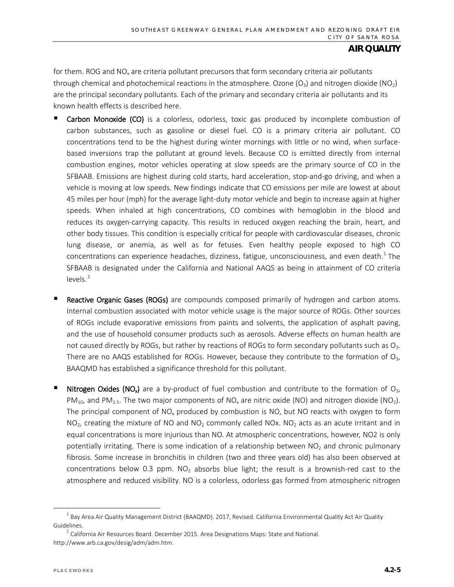for them. ROG and  $NO<sub>x</sub>$  are criteria pollutant precursors that form secondary criteria air pollutants through chemical and photochemical reactions in the atmosphere. Ozone  $(O_3)$  and nitrogen dioxide (NO<sub>2</sub>) are the principal secondary pollutants. Each of the primary and secondary criteria air pollutants and its known health effects is described here.

- Carbon Monoxide (CO) is a colorless, odorless, toxic gas produced by incomplete combustion of carbon substances, such as gasoline or diesel fuel. CO is a primary criteria air pollutant. CO concentrations tend to be the highest during winter mornings with little or no wind, when surfacebased inversions trap the pollutant at ground levels. Because CO is emitted directly from internal combustion engines, motor vehicles operating at slow speeds are the primary source of CO in the SFBAAB. Emissions are highest during cold starts, hard acceleration, stop-and-go driving, and when a vehicle is moving at low speeds. New findings indicate that CO emissions per mile are lowest at about 45 miles per hour (mph) for the average light-duty motor vehicle and begin to increase again at higher speeds. When inhaled at high concentrations, CO combines with hemoglobin in the blood and reduces its oxygen-carrying capacity. This results in reduced oxygen reaching the brain, heart, and other body tissues. This condition is especially critical for people with cardiovascular diseases, chronic lung disease, or anemia, as well as for fetuses. Even healthy people exposed to high CO concentrations can experience headaches, dizziness, fatigue, unconsciousness, and even death.<sup>[1](#page-4-0)</sup> The SFBAAB is designated under the California and National AAQS as being in attainment of CO criteria levels.<sup>[2](#page-4-1)</sup>
- Reactive Organic Gases (ROGs) are compounds composed primarily of hydrogen and carbon atoms. Internal combustion associated with motor vehicle usage is the major source of ROGs. Other sources of ROGs include evaporative emissions from paints and solvents, the application of asphalt paving, and the use of household consumer products such as aerosols. Adverse effects on human health are not caused directly by ROGs, but rather by reactions of ROGs to form secondary pollutants such as  $O<sub>3</sub>$ . There are no AAQS established for ROGs. However, because they contribute to the formation of  $O<sub>3</sub>$ , BAAQMD has established a significance threshold for this pollutant.
- **Nitrogen Oxides (NO<sub>x</sub>)** are a by-product of fuel combustion and contribute to the formation of  $O_3$ ,  $PM_{10}$ , and PM<sub>2.5</sub>. The two major components of NO<sub>x</sub> are nitric oxide (NO) and nitrogen dioxide (NO<sub>2</sub>). The principal component of  $NO<sub>x</sub>$  produced by combustion is NO, but NO reacts with oxygen to form  $NO<sub>2</sub>$ , creating the mixture of NO and  $NO<sub>2</sub>$  commonly called NOx. NO<sub>2</sub> acts as an acute irritant and in equal concentrations is more injurious than NO. At atmospheric concentrations, however, NO2 is only potentially irritating. There is some indication of a relationship between  $NO<sub>2</sub>$  and chronic pulmonary fibrosis. Some increase in bronchitis in children (two and three years old) has also been observed at concentrations below 0.3 ppm.  $NO<sub>2</sub>$  absorbs blue light; the result is a brownish-red cast to the atmosphere and reduced visibility. NO is a colorless, odorless gas formed from atmospheric nitrogen

<span id="page-4-0"></span> $1$  Bay Area Air Quality Management District (BAAQMD). 2017, Revised. California Environmental Quality Act Air Quality Guidelines.

<span id="page-4-1"></span><sup>&</sup>lt;sup>2</sup> California Air Resources Board. December 2015. Area Designations Maps: State and National. http://www.arb.ca.gov/desig/adm/adm.htm.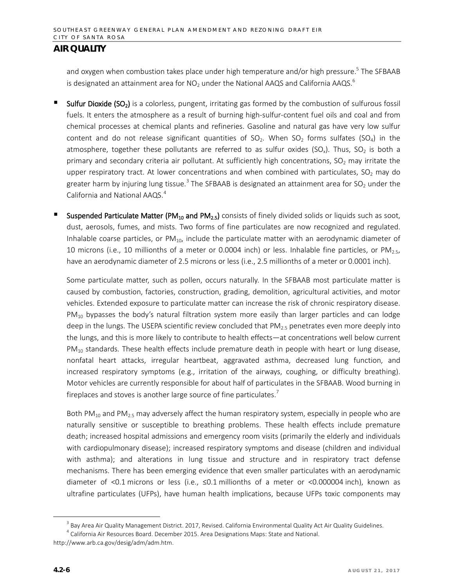and oxygen when combustion takes place under high temperature and/or high pressure.<sup>5</sup> The SFBAAB is designated an attainment area for NO<sub>2</sub> under the National AAQS and California AAQS.<sup>6</sup>

- Sulfur Dioxide (SO<sub>2</sub>) is a colorless, pungent, irritating gas formed by the combustion of sulfurous fossil fuels. It enters the atmosphere as a result of burning high-sulfur-content fuel oils and coal and from chemical processes at chemical plants and refineries. Gasoline and natural gas have very low sulfur content and do not release significant quantities of  $SO_2$ . When  $SO_2$  forms sulfates ( $SO_4$ ) in the atmosphere, together these pollutants are referred to as sulfur oxides (SO<sub>x</sub>). Thus, SO<sub>2</sub> is both a primary and secondary criteria air pollutant. At sufficiently high concentrations,  $SO<sub>2</sub>$  may irritate the upper respiratory tract. At lower concentrations and when combined with particulates,  $SO<sub>2</sub>$  may do greater harm by injuring lung tissue.<sup>[3](#page-5-0)</sup> The SFBAAB is designated an attainment area for SO<sub>2</sub> under the California and National AAQS. [4](#page-5-1)
- Suspended Particulate Matter (PM<sub>10</sub> and PM<sub>2.5</sub>) consists of finely divided solids or liquids such as soot, dust, aerosols, fumes, and mists. Two forms of fine particulates are now recognized and regulated. Inhalable coarse particles, or  $PM_{10}$ , include the particulate matter with an aerodynamic diameter of 10 microns (i.e., 10 millionths of a meter or 0.0004 inch) or less. Inhalable fine particles, or  $PM_{2.5}$ , have an aerodynamic diameter of 2.5 microns or less (i.e., 2.5 millionths of a meter or 0.0001 inch).

Some particulate matter, such as pollen, occurs naturally. In the SFBAAB most particulate matter is caused by combustion, factories, construction, grading, demolition, agricultural activities, and motor vehicles. Extended exposure to particulate matter can increase the risk of chronic respiratory disease.  $PM_{10}$  bypasses the body's natural filtration system more easily than larger particles and can lodge deep in the lungs. The USEPA scientific review concluded that  $PM_{2.5}$  penetrates even more deeply into the lungs, and this is more likely to contribute to health effects—at concentrations well below current  $PM_{10}$  standards. These health effects include premature death in people with heart or lung disease, nonfatal heart attacks, irregular heartbeat, aggravated asthma, decreased lung function, and increased respiratory symptoms (e.g., irritation of the airways, coughing, or difficulty breathing). Motor vehicles are currently responsible for about half of particulates in the SFBAAB. Wood burning in fireplaces and stoves is another large source of fine particulates.<sup>7</sup>

Both PM $_{10}$  and PM<sub>2.5</sub> may adversely affect the human respiratory system, especially in people who are naturally sensitive or susceptible to breathing problems. These health effects include premature death; increased hospital admissions and emergency room visits (primarily the elderly and individuals with cardiopulmonary disease); increased respiratory symptoms and disease (children and individual with asthma); and alterations in lung tissue and structure and in respiratory tract defense mechanisms. There has been emerging evidence that even smaller particulates with an aerodynamic diameter of <0.1 microns or less (i.e., ≤0.1 millionths of a meter or <0.000004 inch), known as ultrafine particulates (UFPs), have human health implications, because UFPs toxic components may

 $3$  Bay Area Air Quality Management District. 2017, Revised. California Environmental Quality Act Air Quality Guidelines.

<span id="page-5-1"></span><span id="page-5-0"></span><sup>&</sup>lt;sup>4</sup> California Air Resources Board. December 2015. Area Designations Maps: State and National. http://www.arb.ca.gov/desig/adm/adm.htm.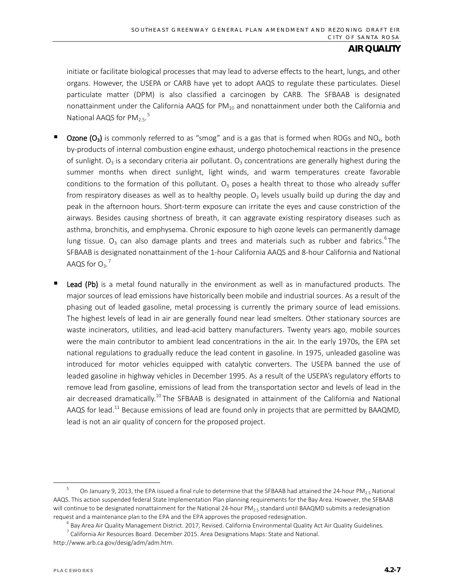initiate or facilitate biological processes that may lead to adverse effects to the heart, lungs, and other organs. However, the USEPA or CARB have yet to adopt AAQS to regulate these particulates. Diesel particulate matter (DPM) is also classified a carcinogen by CARB. The SFBAAB is designated nonattainment under the California AAQS for  $PM_{10}$  and nonattainment under both the California and National AAQS for  $PM_{2.5}$  $PM_{2.5}$  $PM_{2.5}$ .<sup>5</sup>

- **Ozone (O<sub>3</sub>)** is commonly referred to as "smog" and is a gas that is formed when ROGs and NO<sub>x</sub>, both by-products of internal combustion engine exhaust, undergo photochemical reactions in the presence of sunlight.  $O_3$  is a secondary criteria air pollutant.  $O_3$  concentrations are generally highest during the summer months when direct sunlight, light winds, and warm temperatures create favorable conditions to the formation of this pollutant.  $O_3$  poses a health threat to those who already suffer from respiratory diseases as well as to healthy people.  $O<sub>3</sub>$  levels usually build up during the day and peak in the afternoon hours. Short-term exposure can irritate the eyes and cause constriction of the airways. Besides causing shortness of breath, it can aggravate existing respiratory diseases such as asthma, bronchitis, and emphysema. Chronic exposure to high ozone levels can permanently damage lung tissue.  $O_3$  can also damage plants and trees and materials such as rubber and fabrics.<sup>[6](#page-6-1)</sup>The SFBAAB is designated nonattainment of the 1-hour California AAQS and 8-hour California and National AAQS for  $O_3$ .<sup>[7](#page-6-2)</sup>
- Lead (Pb) is a metal found naturally in the environment as well as in manufactured products. The major sources of lead emissions have historically been mobile and industrial sources. As a result of the phasing out of leaded gasoline, metal processing is currently the primary source of lead emissions. The highest levels of lead in air are generally found near lead smelters. Other stationary sources are waste incinerators, utilities, and lead-acid battery manufacturers. Twenty years ago, mobile sources were the main contributor to ambient lead concentrations in the air. In the early 1970s, the EPA set national regulations to gradually reduce the lead content in gasoline. In 1975, unleaded gasoline was introduced for motor vehicles equipped with catalytic converters. The USEPA banned the use of leaded gasoline in highway vehicles in December 1995. As a result of the USEPA's regulatory efforts to remove lead from gasoline, emissions of lead from the transportation sector and levels of lead in the air decreased dramatically.<sup>10</sup> The SFBAAB is designated in attainment of the California and National AAQS for lead.<sup>11</sup> Because emissions of lead are found only in projects that are permitted by BAAQMD, lead is not an air quality of concern for the proposed project.

<span id="page-6-0"></span>On January 9, 2013, the EPA issued a final rule to determine that the SFBAAB had attained the 24-hour PM<sub>25</sub> National AAQS. This action suspended federal State Implementation Plan planning requirements for the Bay Area. However, the SFBAAB will continue to be designated nonattainment for the National 24-hour PM<sub>2.5</sub> standard until BAAQMD submits a redesignation

<span id="page-6-1"></span>request and a maintenance plan to the EPA and the EPA approves the proposed redesignation.<br><sup>6</sup> Bay Area Air Quality Management District. 2017, Revised. California Environmental Quality Act Air Quality Guidelines.

 $7$  California Air Resources Board. December 2015. Area Designations Maps: State and National.

<span id="page-6-2"></span>http://www.arb.ca.gov/desig/adm/adm.htm.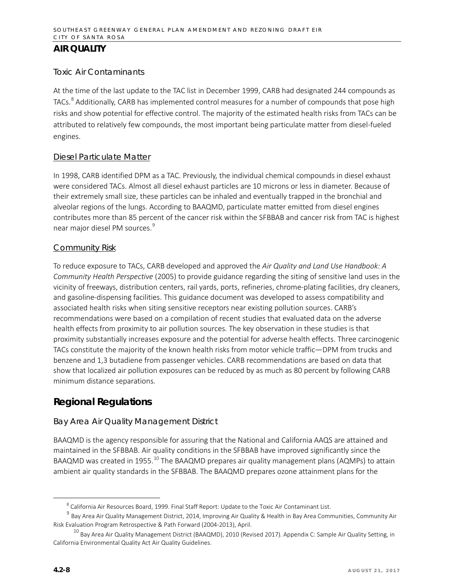### *Toxic Air Contaminants*

At the time of the last update to the TAC list in December 1999, CARB had designated 244 compounds as TACs.<sup>[8](#page-7-0)</sup> Additionally, CARB has implemented control measures for a number of compounds that pose high risks and show potential for effective control. The majority of the estimated health risks from TACs can be attributed to relatively few compounds, the most important being particulate matter from diesel-fueled engines.

#### Diesel Particulate Matter

In 1998, CARB identified DPM as a TAC. Previously, the individual chemical compounds in diesel exhaust were considered TACs. Almost all diesel exhaust particles are 10 microns or less in diameter. Because of their extremely small size, these particles can be inhaled and eventually trapped in the bronchial and alveolar regions of the lungs. According to BAAQMD, particulate matter emitted from diesel engines contributes more than 85 percent of the cancer risk within the SFBBAB and cancer risk from TAC is highest near major diesel PM sources.<sup>[9](#page-7-1)</sup>

#### Community Risk

To reduce exposure to TACs, CARB developed and approved the *Air Quality and Land Use Handbook: A Community Health Perspective* (2005) to provide guidance regarding the siting of sensitive land uses in the vicinity of freeways, distribution centers, rail yards, ports, refineries, chrome-plating facilities, dry cleaners, and gasoline-dispensing facilities. This guidance document was developed to assess compatibility and associated health risks when siting sensitive receptors near existing pollution sources. CARB's recommendations were based on a compilation of recent studies that evaluated data on the adverse health effects from proximity to air pollution sources. The key observation in these studies is that proximity substantially increases exposure and the potential for adverse health effects. Three carcinogenic TACs constitute the majority of the known health risks from motor vehicle traffic—DPM from trucks and benzene and 1,3 butadiene from passenger vehicles. CARB recommendations are based on data that show that localized air pollution exposures can be reduced by as much as 80 percent by following CARB minimum distance separations.

## **Regional Regulations**

#### *Bay Area Air Quality Management District*

BAAQMD is the agency responsible for assuring that the National and California AAQS are attained and maintained in the SFBBAB. Air quality conditions in the SFBBAB have improved significantly since the BAAQMD was created in 1955.<sup>[10](#page-7-2)</sup> The BAAQMD prepares air quality management plans (AQMPs) to attain ambient air quality standards in the SFBBAB. The BAAQMD prepares ozone attainment plans for the

 <sup>8</sup> California Air Resources Board, 1999. Final Staff Report: Update to the Toxic Air Contaminant List.

<span id="page-7-1"></span><span id="page-7-0"></span><sup>9</sup> Bay Area Air Quality Management District, 2014, Improving Air Quality & Health in Bay Area Communities, Community Air Risk Evaluation Program Retrospective & Path Forward (2004-2013), April.

<span id="page-7-2"></span> $10$  Bay Area Air Quality Management District (BAAQMD), 2010 (Revised 2017). Appendix C: Sample Air Quality Setting, in California Environmental Quality Act Air Quality Guidelines.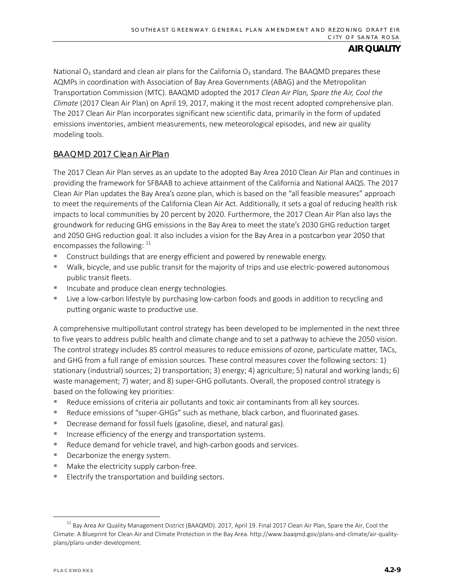National  $O_3$  standard and clean air plans for the California  $O_3$  standard. The BAAQMD prepares these AQMPs in coordination with Association of Bay Area Governments (ABAG) and the Metropolitan Transportation Commission (MTC). BAAQMD adopted the 2017 *Clean Air Plan, Spare the Air, Cool the Climate* (2017 Clean Air Plan) on April 19, 2017, making it the most recent adopted comprehensive plan. The 2017 Clean Air Plan incorporates significant new scientific data, primarily in the form of updated emissions inventories, ambient measurements, new meteorological episodes, and new air quality modeling tools.

### BAAQMD 2017 Clean Air Plan

The 2017 Clean Air Plan serves as an update to the adopted Bay Area 2010 Clean Air Plan and continues in providing the framework for SFBAAB to achieve attainment of the California and National AAQS. The 2017 Clean Air Plan updates the Bay Area's ozone plan, which is based on the "all feasible measures" approach to meet the requirements of the California Clean Air Act. Additionally, it sets a goal of reducing health risk impacts to local communities by 20 percent by 2020. Furthermore, the 2017 Clean Air Plan also lays the groundwork for reducing GHG emissions in the Bay Area to meet the state's 2030 GHG reduction target and 2050 GHG reduction goal. It also includes a vision for the Bay Area in a postcarbon year 2050 that encompasses the following:  $11$ 

- **Construct buildings that are energy efficient and powered by renewable energy.**
- Walk, bicycle, and use public transit for the majority of trips and use electric-powered autonomous public transit fleets.
- **Incubate and produce clean energy technologies.**
- Live a low-carbon lifestyle by purchasing low-carbon foods and goods in addition to recycling and putting organic waste to productive use.

A comprehensive multipollutant control strategy has been developed to be implemented in the next three to five years to address public health and climate change and to set a pathway to achieve the 2050 vision. The control strategy includes 85 control measures to reduce emissions of ozone, particulate matter, TACs, and GHG from a full range of emission sources. These control measures cover the following sectors: 1) stationary (industrial) sources; 2) transportation; 3) energy; 4) agriculture; 5) natural and working lands; 6) waste management; 7) water; and 8) super-GHG pollutants. Overall, the proposed control strategy is based on the following key priorities:

- **Reduce emissions of criteria air pollutants and toxic air contaminants from all key sources.**
- **Reduce emissions of "super-GHGs" such as methane, black carbon, and fluorinated gases.**
- **Decrease demand for fossil fuels (gasoline, diesel, and natural gas).**
- Increase efficiency of the energy and transportation systems.
- Reduce demand for vehicle travel, and high-carbon goods and services.
- Decarbonize the energy system.
- **Make the electricity supply carbon-free.**
- **Electrify the transportation and building sectors.**

<span id="page-8-0"></span><sup>&</sup>lt;sup>11</sup> Bay Area Air Quality Management District (BAAQMD). 2017, April 19. Final 2017 Clean Air Plan, Spare the Air, Cool the Climate: A Blueprint for Clean Air and Climate Protection in the Bay Area. http://www.baaqmd.gov/plans-and-climate/air-qualityplans/plans-under-development.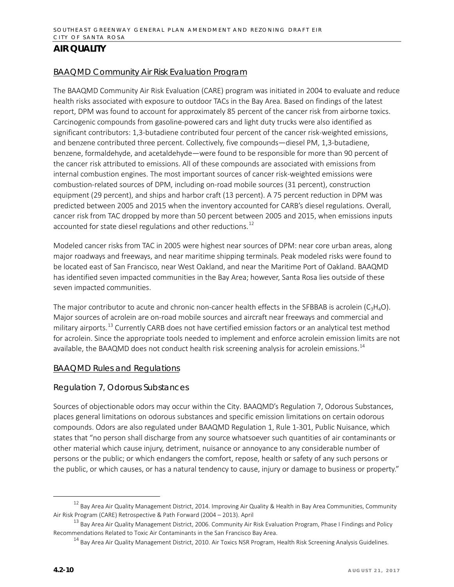#### BAAQMD Community Air Risk Evaluation Program

The BAAQMD Community Air Risk Evaluation (CARE) program was initiated in 2004 to evaluate and reduce health risks associated with exposure to outdoor TACs in the Bay Area. Based on findings of the latest report, DPM was found to account for approximately 85 percent of the cancer risk from airborne toxics. Carcinogenic compounds from gasoline-powered cars and light duty trucks were also identified as significant contributors: 1,3-butadiene contributed four percent of the cancer risk-weighted emissions, and benzene contributed three percent. Collectively, five compounds—diesel PM, 1,3-butadiene, benzene, formaldehyde, and acetaldehyde—were found to be responsible for more than 90 percent of the cancer risk attributed to emissions. All of these compounds are associated with emissions from internal combustion engines. The most important sources of cancer risk-weighted emissions were combustion-related sources of DPM, including on-road mobile sources (31 percent), construction equipment (29 percent), and ships and harbor craft (13 percent). A 75 percent reduction in DPM was predicted between 2005 and 2015 when the inventory accounted for CARB's diesel regulations. Overall, cancer risk from TAC dropped by more than 50 percent between 2005 and 2015, when emissions inputs accounted for state diesel regulations and other reductions.<sup>[12](#page-9-0)</sup>

Modeled cancer risks from TAC in 2005 were highest near sources of DPM: near core urban areas, along major roadways and freeways, and near maritime shipping terminals. Peak modeled risks were found to be located east of San Francisco, near West Oakland, and near the Maritime Port of Oakland. BAAQMD has identified seven impacted communities in the Bay Area; however, Santa Rosa lies outside of these seven impacted communities.

The major contributor to acute and chronic non-cancer health effects in the SFBBAB is acrolein ( $C_3H_4O$ ). Major sources of acrolein are on-road mobile sources and aircraft near freeways and commercial and military airports.<sup>[13](#page-9-1)</sup> Currently CARB does not have certified emission factors or an analytical test method for acrolein. Since the appropriate tools needed to implement and enforce acrolein emission limits are not available, the BAAQMD does not conduct health risk screening analysis for acrolein emissions.<sup>[14](#page-9-2)</sup>

#### BAAQMD Rules and Regulations

#### Regulation 7, Odorous Substances

Sources of objectionable odors may occur within the City. BAAQMD's Regulation 7, Odorous Substances, places general limitations on odorous substances and specific emission limitations on certain odorous compounds. Odors are also regulated under BAAQMD Regulation 1, Rule 1-301, Public Nuisance, which states that "no person shall discharge from any source whatsoever such quantities of air contaminants or other material which cause injury, detriment, nuisance or annoyance to any considerable number of persons or the public; or which endangers the comfort, repose, health or safety of any such persons or the public, or which causes, or has a natural tendency to cause, injury or damage to business or property."

<span id="page-9-0"></span> $12$  Bay Area Air Quality Management District, 2014. Improving Air Quality & Health in Bay Area Communities, Community Air Risk Program (CARE) Retrospective & Path Forward (2004 – 2013). April

<span id="page-9-2"></span><span id="page-9-1"></span> $^{13}$  Bay Area Air Quality Management District, 2006. Community Air Risk Evaluation Program, Phase I Findings and Policy Recommendations Related to Toxic Air Contaminants in the San Francisco Bay Area.

<sup>&</sup>lt;sup>14</sup> Bay Area Air Quality Management District, 2010. Air Toxics NSR Program, Health Risk Screening Analysis Guidelines.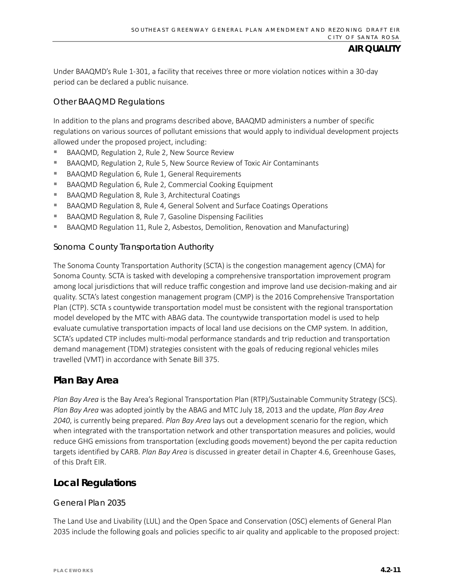Under BAAQMD's Rule 1-301, a facility that receives three or more violation notices within a 30-day period can be declared a public nuisance.

### Other BAAQMD Regulations

In addition to the plans and programs described above, BAAQMD administers a number of specific regulations on various sources of pollutant emissions that would apply to individual development projects allowed under the proposed project, including:

- BAAQMD, Regulation 2, Rule 2, New Source Review
- BAAQMD, Regulation 2, Rule 5, New Source Review of Toxic Air Contaminants
- BAAQMD Regulation 6, Rule 1, General Requirements
- BAAQMD Regulation 6, Rule 2, Commercial Cooking Equipment
- BAAQMD Regulation 8, Rule 3, Architectural Coatings
- BAAQMD Regulation 8, Rule 4, General Solvent and Surface Coatings Operations
- BAAQMD Regulation 8, Rule 7, Gasoline Dispensing Facilities
- BAAQMD Regulation 11, Rule 2, Asbestos, Demolition, Renovation and Manufacturing)

#### *Sonoma County Transportation Authority*

The Sonoma County Transportation Authority (SCTA) is the congestion management agency (CMA) for Sonoma County. SCTA is tasked with developing a comprehensive transportation improvement program among local jurisdictions that will reduce traffic congestion and improve land use decision-making and air quality. SCTA's latest congestion management program (CMP) is the 2016 Comprehensive Transportation Plan (CTP). SCTA s countywide transportation model must be consistent with the regional transportation model developed by the MTC with ABAG data. The countywide transportation model is used to help evaluate cumulative transportation impacts of local land use decisions on the CMP system. In addition, SCTA's updated CTP includes multi-modal performance standards and trip reduction and transportation demand management (TDM) strategies consistent with the goals of reducing regional vehicles miles travelled (VMT) in accordance with Senate Bill 375.

## **Plan Bay Area**

*Plan Bay Area* is the Bay Area's Regional Transportation Plan (RTP)/Sustainable Community Strategy (SCS). *Plan Bay Area* was adopted jointly by the ABAG and MTC July 18, 2013 and the update, *Plan Bay Area 2040*, is currently being prepared. *Plan Bay Area* lays out a development scenario for the region, which when integrated with the transportation network and other transportation measures and policies, would reduce GHG emissions from transportation (excluding goods movement) beyond the per capita reduction targets identified by CARB. *Plan Bay Area* is discussed in greater detail in Chapter 4.6, Greenhouse Gases, of this Draft EIR.

## **Local Regulations**

#### *General Plan 2035*

The Land Use and Livability (LUL) and the Open Space and Conservation (OSC) elements of General Plan 2035 include the following goals and policies specific to air quality and applicable to the proposed project: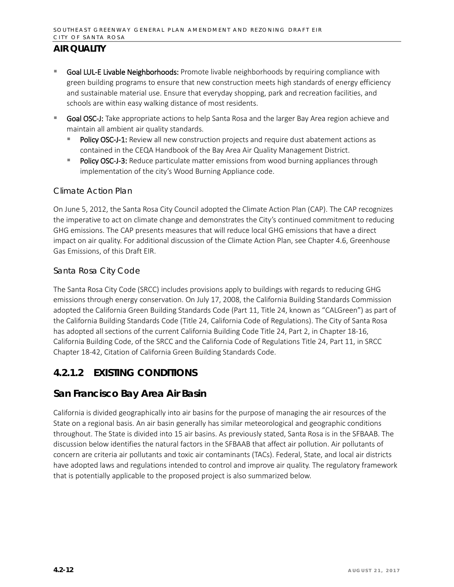- Goal LUL-E Livable Neighborhoods: Promote livable neighborhoods by requiring compliance with green building programs to ensure that new construction meets high standards of energy efficiency and sustainable material use. Ensure that everyday shopping, park and recreation facilities, and schools are within easy walking distance of most residents.
- Goal OSC-J: Take appropriate actions to help Santa Rosa and the larger Bay Area region achieve and maintain all ambient air quality standards.
	- Policy OSC-J-1: Review all new construction projects and require dust abatement actions as contained in the CEQA Handbook of the Bay Area Air Quality Management District.
	- Policy OSC-J-3: Reduce particulate matter emissions from wood burning appliances through implementation of the city's Wood Burning Appliance code.

#### *Climate Action Plan*

On June 5, 2012, the Santa Rosa City Council adopted the Climate Action Plan (CAP). The CAP recognizes the imperative to act on climate change and demonstrates the City's continued commitment to reducing GHG emissions. The CAP presents measures that will reduce local GHG emissions that have a direct impact on air quality. For additional discussion of the Climate Action Plan, see Chapter 4.6, Greenhouse Gas Emissions, of this Draft EIR.

### *Santa Rosa City Code*

The Santa Rosa City Code (SRCC) includes provisions apply to buildings with regards to reducing GHG emissions through energy conservation. On July 17, 2008, the California Building Standards Commission adopted the California Green Building Standards Code (Part 11, Title 24, known as "CALGreen") as part of the California Building Standards Code (Title 24, California Code of Regulations). The City of Santa Rosa has adopted all sections of the current California Building Code Title 24, Part 2, in Chapter 18-16, California Building Code, of the SRCC and the California Code of Regulations Title 24, Part 11, in SRCC Chapter 18-42, Citation of California Green Building Standards Code.

## **4.2.1.2 EXISTING CONDITIONS**

## **San Francisco Bay Area Air Basin**

California is divided geographically into air basins for the purpose of managing the air resources of the State on a regional basis. An air basin generally has similar meteorological and geographic conditions throughout. The State is divided into 15 air basins. As previously stated, Santa Rosa is in the SFBAAB. The discussion below identifies the natural factors in the SFBAAB that affect air pollution. Air pollutants of concern are criteria air pollutants and toxic air contaminants (TACs). Federal, State, and local air districts have adopted laws and regulations intended to control and improve air quality. The regulatory framework that is potentially applicable to the proposed project is also summarized below.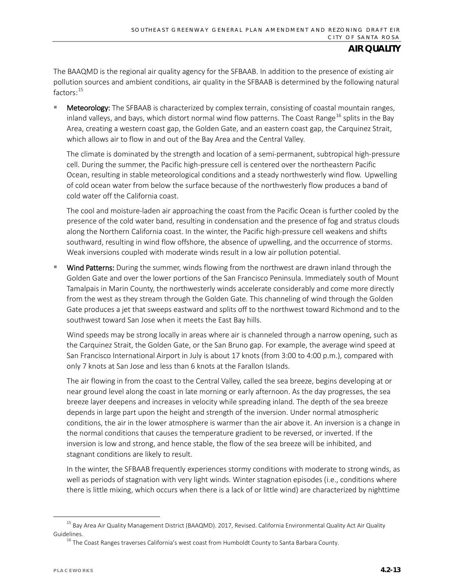The BAAQMD is the regional air quality agency for the SFBAAB. In addition to the presence of existing air pollution sources and ambient conditions, air quality in the SFBAAB is determined by the following natural factors: [15](#page-12-0)

Meteorology: The SFBAAB is characterized by complex terrain, consisting of coastal mountain ranges, inland valleys, and bays, which distort normal wind flow patterns. The Coast Range<sup>[16](#page-12-1)</sup> splits in the Bay Area, creating a western coast gap, the Golden Gate, and an eastern coast gap, the Carquinez Strait, which allows air to flow in and out of the Bay Area and the Central Valley.

The climate is dominated by the strength and location of a semi-permanent, subtropical high-pressure cell. During the summer, the Pacific high-pressure cell is centered over the northeastern Pacific Ocean, resulting in stable meteorological conditions and a steady northwesterly wind flow. Upwelling of cold ocean water from below the surface because of the northwesterly flow produces a band of cold water off the California coast.

The cool and moisture-laden air approaching the coast from the Pacific Ocean is further cooled by the presence of the cold water band, resulting in condensation and the presence of fog and stratus clouds along the Northern California coast. In the winter, the Pacific high-pressure cell weakens and shifts southward, resulting in wind flow offshore, the absence of upwelling, and the occurrence of storms. Weak inversions coupled with moderate winds result in a low air pollution potential.

Wind Patterns: During the summer, winds flowing from the northwest are drawn inland through the Golden Gate and over the lower portions of the San Francisco Peninsula. Immediately south of Mount Tamalpais in Marin County, the northwesterly winds accelerate considerably and come more directly from the west as they stream through the Golden Gate. This channeling of wind through the Golden Gate produces a jet that sweeps eastward and splits off to the northwest toward Richmond and to the southwest toward San Jose when it meets the East Bay hills.

Wind speeds may be strong locally in areas where air is channeled through a narrow opening, such as the Carquinez Strait, the Golden Gate, or the San Bruno gap. For example, the average wind speed at San Francisco International Airport in July is about 17 knots (from 3:00 to 4:00 p.m.), compared with only 7 knots at San Jose and less than 6 knots at the Farallon Islands.

The air flowing in from the coast to the Central Valley, called the sea breeze, begins developing at or near ground level along the coast in late morning or early afternoon. As the day progresses, the sea breeze layer deepens and increases in velocity while spreading inland. The depth of the sea breeze depends in large part upon the height and strength of the inversion. Under normal atmospheric conditions, the air in the lower atmosphere is warmer than the air above it. An inversion is a change in the normal conditions that causes the temperature gradient to be reversed, or inverted. If the inversion is low and strong, and hence stable, the flow of the sea breeze will be inhibited, and stagnant conditions are likely to result.

In the winter, the SFBAAB frequently experiences stormy conditions with moderate to strong winds, as well as periods of stagnation with very light winds. Winter stagnation episodes (i.e., conditions where there is little mixing, which occurs when there is a lack of or little wind) are characterized by nighttime

<span id="page-12-1"></span><span id="page-12-0"></span><sup>&</sup>lt;sup>15</sup> Bay Area Air Quality Management District (BAAQMD). 2017, Revised. California Environmental Quality Act Air Quality Guidelines.

 $16$  The Coast Ranges traverses California's west coast from Humboldt County to Santa Barbara County.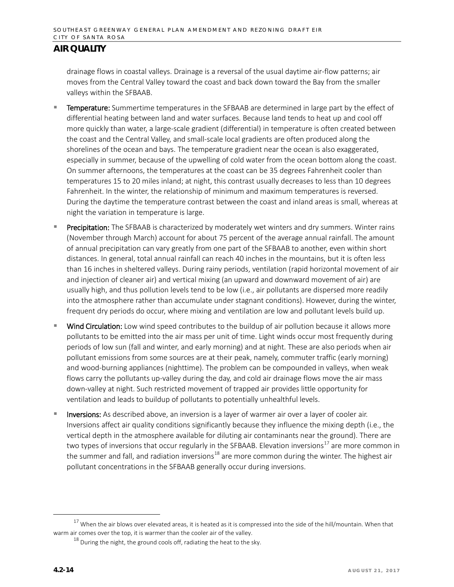drainage flows in coastal valleys. Drainage is a reversal of the usual daytime air-flow patterns; air moves from the Central Valley toward the coast and back down toward the Bay from the smaller valleys within the SFBAAB.

- Temperature: Summertime temperatures in the SFBAAB are determined in large part by the effect of differential heating between land and water surfaces. Because land tends to heat up and cool off more quickly than water, a large-scale gradient (differential) in temperature is often created between the coast and the Central Valley, and small-scale local gradients are often produced along the shorelines of the ocean and bays. The temperature gradient near the ocean is also exaggerated, especially in summer, because of the upwelling of cold water from the ocean bottom along the coast. On summer afternoons, the temperatures at the coast can be 35 degrees Fahrenheit cooler than temperatures 15 to 20 miles inland; at night, this contrast usually decreases to less than 10 degrees Fahrenheit. In the winter, the relationship of minimum and maximum temperatures is reversed. During the daytime the temperature contrast between the coast and inland areas is small, whereas at night the variation in temperature is large.
- Precipitation: The SFBAAB is characterized by moderately wet winters and dry summers. Winter rains (November through March) account for about 75 percent of the average annual rainfall. The amount of annual precipitation can vary greatly from one part of the SFBAAB to another, even within short distances. In general, total annual rainfall can reach 40 inches in the mountains, but it is often less than 16 inches in sheltered valleys. During rainy periods, ventilation (rapid horizontal movement of air and injection of cleaner air) and vertical mixing (an upward and downward movement of air) are usually high, and thus pollution levels tend to be low (i.e., air pollutants are dispersed more readily into the atmosphere rather than accumulate under stagnant conditions). However, during the winter, frequent dry periods do occur, where mixing and ventilation are low and pollutant levels build up.
- Wind Circulation: Low wind speed contributes to the buildup of air pollution because it allows more pollutants to be emitted into the air mass per unit of time. Light winds occur most frequently during periods of low sun (fall and winter, and early morning) and at night. These are also periods when air pollutant emissions from some sources are at their peak, namely, commuter traffic (early morning) and wood-burning appliances (nighttime). The problem can be compounded in valleys, when weak flows carry the pollutants up-valley during the day, and cold air drainage flows move the air mass down-valley at night. Such restricted movement of trapped air provides little opportunity for ventilation and leads to buildup of pollutants to potentially unhealthful levels.
- Inversions: As described above, an inversion is a layer of warmer air over a layer of cooler air. Inversions affect air quality conditions significantly because they influence the mixing depth (i.e., the vertical depth in the atmosphere available for diluting air contaminants near the ground). There are two types of inversions that occur regularly in the SFBAAB. Elevation inversions<sup>[17](#page-13-0)</sup> are more common in the summer and fall, and radiation inversions<sup>[18](#page-13-1)</sup> are more common during the winter. The highest air pollutant concentrations in the SFBAAB generally occur during inversions.

<span id="page-13-1"></span><span id="page-13-0"></span> $17$  When the air blows over elevated areas, it is heated as it is compressed into the side of the hill/mountain. When that warm air comes over the top, it is warmer than the cooler air of the valley.

 $18$  During the night, the ground cools off, radiating the heat to the sky.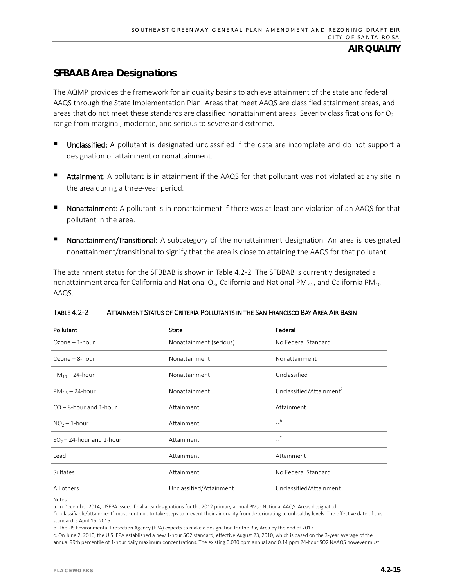## **SFBAAB Area Designations**

The AQMP provides the framework for air quality basins to achieve attainment of the state and federal AAQS through the State Implementation Plan. Areas that meet AAQS are classified attainment areas, and areas that do not meet these standards are classified nonattainment areas. Severity classifications for  $O_3$ range from marginal, moderate, and serious to severe and extreme.

- Unclassified: A pollutant is designated unclassified if the data are incomplete and do not support a designation of attainment or nonattainment.
- Attainment: A pollutant is in attainment if the AAQS for that pollutant was not violated at any site in the area during a three-year period.
- Nonattainment: A pollutant is in nonattainment if there was at least one violation of an AAQS for that pollutant in the area.
- Nonattainment/Transitional: A subcategory of the nonattainment designation. An area is designated nonattainment/transitional to signify that the area is close to attaining the AAQS for that pollutant.

The attainment status for the SFBBAB is shown in Table 4.2-2*.* The SFBBAB is currently designated a nonattainment area for California and National O<sub>3</sub>, California and National PM<sub>2.5</sub>, and California PM<sub>10</sub> AAQS.

| Pollutant                    | State                   | Federal                              |
|------------------------------|-------------------------|--------------------------------------|
| $Ozone - 1$ -hour            | Nonattainment (serious) | No Federal Standard                  |
| $Ozone - 8$ -hour            | Nonattainment           | Nonattainment                        |
| $PM_{10} - 24$ -hour         | Nonattainment           | Unclassified                         |
| $PM_{2.5}$ – 24-hour         | Nonattainment           | Unclassified/Attainment <sup>a</sup> |
| $CO - 8$ -hour and 1-hour    | Attainment              | Attainment                           |
| $NO2 - 1$ -hour              | Attainment              | $\mathbf{b}$                         |
| $SO_2 - 24$ -hour and 1-hour | Attainment              | $\mathop{\llcorner}^{\mathbb{C}}$    |
| Lead                         | Attainment              | Attainment                           |
| Sulfates                     | Attainment              | No Federal Standard                  |
| All others                   | Unclassified/Attainment | Unclassified/Attainment              |

| <b>TABLE 4.2-2</b> | ATTAINMENT STATUS OF CRITERIA POLLUTANTS IN THE SAN FRANCISCO BAY AREA AIR BASIN |
|--------------------|----------------------------------------------------------------------------------|
|                    |                                                                                  |

a. In December 2014, USEPA issued final area designations for the 2012 primary annual PM<sub>2.5</sub> National AAQS. Areas designated

"unclassifiable/attainment" must continue to take steps to prevent their air quality from deteriorating to unhealthy levels. The effective date of this standard is April 15, 2015

b. The US Environmental Protection Agency (EPA) expects to make a designation for the Bay Area by the end of 2017.

c. On June 2, 2010, the U.S. EPA established a new 1-hour SO2 standard, effective August 23, 2010, which is based on the 3-year average of the annual 99th percentile of 1-hour daily maximum concentrations. The existing 0.030 ppm annual and 0.14 ppm 24-hour SO2 NAAQS however must

Notes: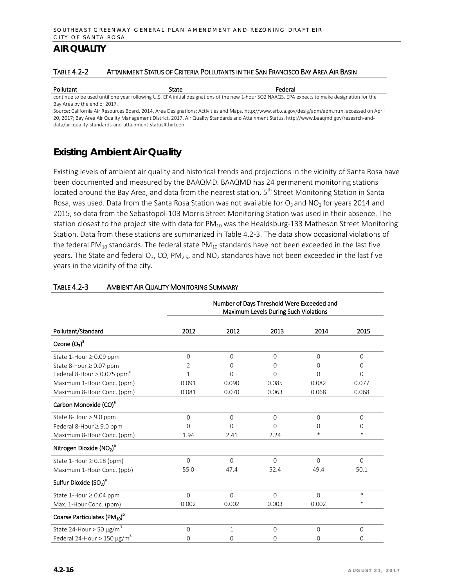#### TABLE 4.2-2 ATTAINMENT STATUS OF CRITERIA POLLUTANTS IN THE SAN FRANCISCO BAY AREA AIR BASIN

Pollutant **State Federal** State **Federal** continue to be used until one year following U.S. EPA initial designations of the new 1-hour SO2 NAAQS. EPA expects to make designation for the Bay Area by the end of 2017.

Source: California Air Resources Board, 2014, Area Designations: Activities and Maps[, http://www.arb.ca.gov/desig/adm/adm.htm,](http://www.arb.ca.gov/desig/adm/adm.htm) accessed on April 20, 2017; Bay Area Air Quality Management District. 2017. Air Quality Standards and Attainment Status. http://www.baaqmd.gov/research-anddata/air-quality-standards-and-attainment-status#thirteen

## **Existing Ambient Air Quality**

Existing levels of ambient air quality and historical trends and projections in the vicinity of Santa Rosa have been documented and measured by the BAAQMD. BAAQMD has 24 permanent monitoring stations located around the Bay Area, and data from the nearest station, 5<sup>th</sup> Street Monitoring Station in Santa Rosa, was used. Data from the Santa Rosa Station was not available for  $O_3$  and NO<sub>2</sub> for years 2014 and 2015, so data from the Sebastopol-103 Morris Street Monitoring Station was used in their absence. The station closest to the project site with data for  $PM_{10}$  was the Healdsburg-133 Matheson Street Monitoring Station. Data from these stations are summarized in Table 4.2-3. The data show occasional violations of the federal PM<sub>10</sub> standards. The federal state PM<sub>10</sub> standards have not been exceeded in the last five years. The State and federal  $O_3$ , CO, PM<sub>2.5</sub>, and NO<sub>2</sub> standards have not been exceeded in the last five years in the vicinity of the city.

|                                                | Number of Days Threshold Were Exceeded and<br>Maximum Levels During Such Violations |          |          |          |          |
|------------------------------------------------|-------------------------------------------------------------------------------------|----------|----------|----------|----------|
| Pollutant/Standard                             | 2012                                                                                | 2012     | 2013     | 2014     | 2015     |
| Ozone $(O_3)^a$                                |                                                                                     |          |          |          |          |
| State 1-Hour $\geq$ 0.09 ppm                   | $\Omega$                                                                            | $\Omega$ | $\Omega$ | $\Omega$ | $\Omega$ |
| State 8-hour $\geq$ 0.07 ppm                   | 2                                                                                   | 0        | 0        | ∩        | $\Omega$ |
| Federal 8-Hour $> 0.075$ ppm <sup>c</sup>      | 1                                                                                   | $\Omega$ | $\Omega$ | $\Omega$ | $\Omega$ |
| Maximum 1-Hour Conc. (ppm)                     | 0.091                                                                               | 0.090    | 0.085    | 0.082    | 0.077    |
| Maximum 8-Hour Conc. (ppm)                     | 0.081                                                                               | 0.070    | 0.063    | 0.068    | 0.068    |
| Carbon Monoxide (CO) <sup>a</sup>              |                                                                                     |          |          |          |          |
| State 8-Hour > 9.0 ppm                         | $\Omega$                                                                            | $\Omega$ | $\Omega$ | $\Omega$ | $\Omega$ |
| Federal 8-Hour ≥ 9.0 ppm                       | O                                                                                   | $\Omega$ | $\Omega$ | O        | $\Omega$ |
| Maximum 8-Hour Conc. (ppm)                     | 1.94                                                                                | 2.41     | 2.24     | *        | $\ast$   |
| Nitrogen Dioxide $(NO2)a$                      |                                                                                     |          |          |          |          |
| State 1-Hour $\geq$ 0.18 (ppm)                 | $\Omega$                                                                            | $\Omega$ | $\Omega$ | $\Omega$ | $\Omega$ |
| Maximum 1-Hour Conc. (ppb)                     | 55.0                                                                                | 47.4     | 52.4     | 49.4     | 50.1     |
| Sulfur Dioxide (SO <sub>2</sub> ) <sup>a</sup> |                                                                                     |          |          |          |          |
| State 1-Hour $\geq$ 0.04 ppm                   | $\Omega$                                                                            | $\Omega$ | $\Omega$ | $\Omega$ | $\ast$   |
| Max. 1-Hour Conc. (ppm)                        | 0.002                                                                               | 0.002    | 0.003    | 0.002    | *        |
| Coarse Particulates (PM10) <sup>b</sup>        |                                                                                     |          |          |          |          |
| State 24-Hour > 50 $\mu$ g/m <sup>3</sup>      | $\Omega$                                                                            | 1        | $\Omega$ | $\Omega$ | $\Omega$ |
| Federal 24-Hour > 150 $\mu$ g/m <sup>3</sup>   | 0                                                                                   | 0        | 0        | 0        | 0        |

#### TABLE 4.2-3 AMBIENT AIR QUALITY MONITORING SUMMARY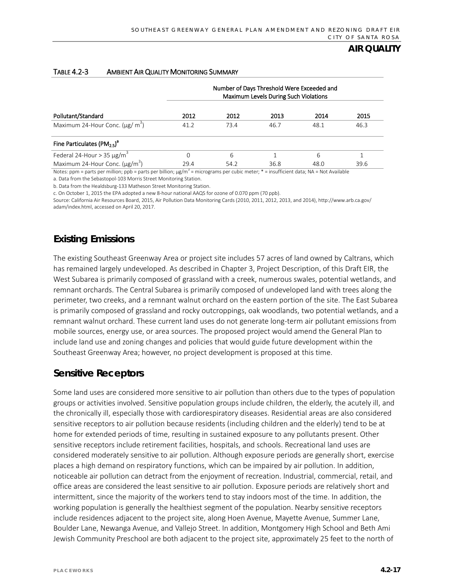|                                                     | Number of Days Threshold Were Exceeded and<br>Maximum Levels During Such Violations |      |      |      |      |
|-----------------------------------------------------|-------------------------------------------------------------------------------------|------|------|------|------|
| Pollutant/Standard                                  | 2012                                                                                | 2012 | 2013 | 2014 | 2015 |
| Maximum 24-Hour Conc. $(\mu g/m^3)$                 | 41.2                                                                                | 73.4 | 46.7 | 48.1 | 46.3 |
| Fine Particulates (PM <sub>2.5</sub> ) <sup>a</sup> |                                                                                     |      |      |      |      |
| Federal 24-Hour > 35 $\mu$ g/m <sup>3</sup>         | 0                                                                                   | 6    |      | 6    |      |
| Maximum 24-Hour Conc. $(\mu g/m^3)$                 | 29.4                                                                                | 54.2 | 36.8 | 48.0 | 39.6 |

#### TABLE 4.2-3 AMBIENT AIR QUALITY MONITORING SUMMARY

Notes: ppm = parts per million; ppb = parts per billion;  $\mu g/m^3$  = micrograms per cubic meter; \* = insufficient data; NA = Not Available a. Data from the Sebastopol-103 Morris Street Monitoring Station.

b. Data from the Healdsburg-133 Matheson Street Monitoring Station.

c. On October 1, 2015 the EPA adopted a new 8-hour national AAQS for ozone of 0.070 ppm (70 ppb).

Source: California Air Resources Board, 2015, Air Pollution Data Monitoring Cards (2010, 2011, 2012, 2013, and 2014)[, http://www.arb.ca.gov/](http://www.arb.ca.gov/adam/) [adam/in](http://www.arb.ca.gov/adam/)dex.html, accessed on April 20, 2017.

## **Existing Emissions**

The existing Southeast Greenway Area or project site includes 57 acres of land owned by Caltrans, which has remained largely undeveloped. As described in Chapter 3, Project Description, of this Draft EIR, the West Subarea is primarily composed of grassland with a creek, numerous swales, potential wetlands, and remnant orchards. The Central Subarea is primarily composed of undeveloped land with trees along the perimeter, two creeks, and a remnant walnut orchard on the eastern portion of the site. The East Subarea is primarily composed of grassland and rocky outcroppings, oak woodlands, two potential wetlands, and a remnant walnut orchard. These current land uses do not generate long-term air pollutant emissions from mobile sources, energy use, or area sources. The proposed project would amend the General Plan to include land use and zoning changes and policies that would guide future development within the Southeast Greenway Area; however, no project development is proposed at this time.

## **Sensitive Receptors**

Some land uses are considered more sensitive to air pollution than others due to the types of population groups or activities involved. Sensitive population groups include children, the elderly, the acutely ill, and the chronically ill, especially those with cardiorespiratory diseases. Residential areas are also considered sensitive receptors to air pollution because residents (including children and the elderly) tend to be at home for extended periods of time, resulting in sustained exposure to any pollutants present. Other sensitive receptors include retirement facilities, hospitals, and schools. Recreational land uses are considered moderately sensitive to air pollution. Although exposure periods are generally short, exercise places a high demand on respiratory functions, which can be impaired by air pollution. In addition, noticeable air pollution can detract from the enjoyment of recreation. Industrial, commercial, retail, and office areas are considered the least sensitive to air pollution. Exposure periods are relatively short and intermittent, since the majority of the workers tend to stay indoors most of the time. In addition, the working population is generally the healthiest segment of the population. Nearby sensitive receptors include residences adjacent to the project site, along Hoen Avenue, Mayette Avenue, Summer Lane, Boulder Lane, Newanga Avenue, and Vallejo Street. In addition, Montgomery High School and Beth Ami Jewish Community Preschool are both adjacent to the project site, approximately 25 feet to the north of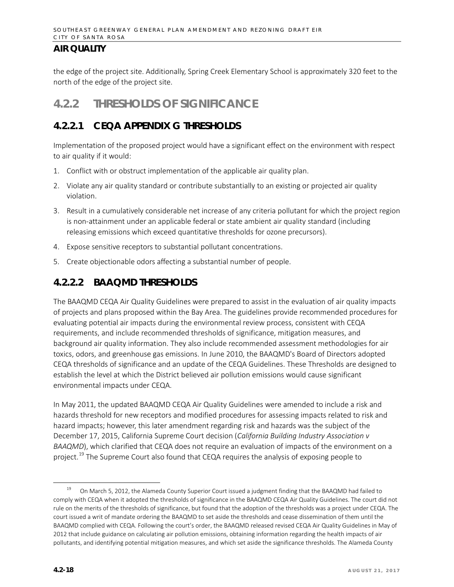the edge of the project site. Additionally, Spring Creek Elementary School is approximately 320 feet to the north of the edge of the project site.

# **4.2.2 THRESHOLDS OF SIGNIFICANCE**

## **4.2.2.1 CEQA APPENDIX G THRESHOLDS**

Implementation of the proposed project would have a significant effect on the environment with respect to air quality if it would:

- 1. Conflict with or obstruct implementation of the applicable air quality plan.
- 2. Violate any air quality standard or contribute substantially to an existing or projected air quality violation.
- 3. Result in a cumulatively considerable net increase of any criteria pollutant for which the project region is non-attainment under an applicable federal or state ambient air quality standard (including releasing emissions which exceed quantitative thresholds for ozone precursors).
- 4. Expose sensitive receptors to substantial pollutant concentrations.
- 5. Create objectionable odors affecting a substantial number of people.

## **4.2.2.2 BAAQMD THRESHOLDS**

The BAAQMD CEQA Air Quality Guidelines were prepared to assist in the evaluation of air quality impacts of projects and plans proposed within the Bay Area. The guidelines provide recommended procedures for evaluating potential air impacts during the environmental review process, consistent with CEQA requirements, and include recommended thresholds of significance, mitigation measures, and background air quality information. They also include recommended assessment methodologies for air toxics, odors, and greenhouse gas emissions. In June 2010, the BAAQMD's Board of Directors adopted CEQA thresholds of significance and an update of the CEQA Guidelines. These Thresholds are designed to establish the level at which the District believed air pollution emissions would cause significant environmental impacts under CEQA.

In May 2011, the updated BAAQMD CEQA Air Quality Guidelines were amended to include a risk and hazards threshold for new receptors and modified procedures for assessing impacts related to risk and hazard impacts; however, this later amendment regarding risk and hazards was the subject of the December 17, 2015, California Supreme Court decision (*California Building Industry Association v BAAQMD*), which clarified that CEQA does not require an evaluation of impacts of the environment on a project.<sup>[19](#page-17-0)</sup> The Supreme Court also found that CEQA requires the analysis of exposing people to

<span id="page-17-0"></span><sup>&</sup>lt;sup>19</sup> On March 5, 2012, the Alameda County Superior Court issued a judgment finding that the BAAQMD had failed to comply with CEQA when it adopted the thresholds of significance in the BAAQMD CEQA Air Quality Guidelines. The court did not rule on the merits of the thresholds of significance, but found that the adoption of the thresholds was a project under CEQA. The court issued a writ of mandate ordering the BAAQMD to set aside the thresholds and cease dissemination of them until the BAAQMD complied with CEQA. Following the court's order, the BAAQMD released revised CEQA Air Quality Guidelines in May of 2012 that include guidance on calculating air pollution emissions, obtaining information regarding the health impacts of air pollutants, and identifying potential mitigation measures, and which set aside the significance thresholds. The Alameda County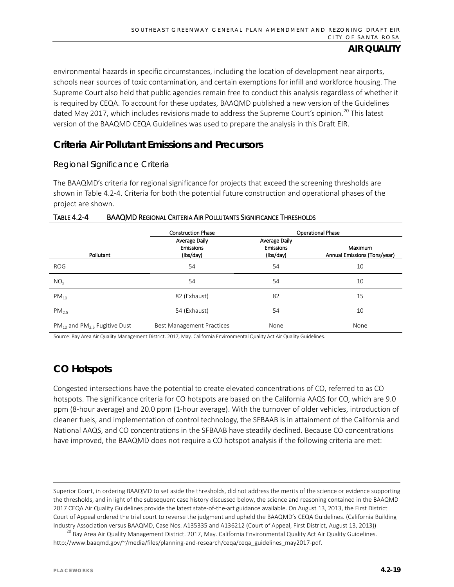environmental hazards in specific circumstances, including the location of development near airports, schools near sources of toxic contamination, and certain exemptions for infill and workforce housing. The Supreme Court also held that public agencies remain free to conduct this analysis regardless of whether it is required by CEQA. To account for these updates, BAAQMD published a new version of the Guidelines dated May [20](#page-18-0)17, which includes revisions made to address the Supreme Court's opinion.<sup>20</sup> This latest version of the BAAQMD CEQA Guidelines was used to prepare the analysis in this Draft EIR.

## **Criteria Air Pollutant Emissions and Precursors**

#### *Regional Significance Criteria*

The BAAQMD's criteria for regional significance for projects that exceed the screening thresholds are shown in Table 4.2-4. Criteria for both the potential future construction and operational phases of the project are shown.

|                                        | <b>Construction Phase</b>                             |                                                | <b>Operational Phase</b>                |
|----------------------------------------|-------------------------------------------------------|------------------------------------------------|-----------------------------------------|
| Pollutant                              | <b>Average Daily</b><br><b>Emissions</b><br>(lbs/day) | Average Daily<br><b>Emissions</b><br>(lbs/day) | Maximum<br>Annual Emissions (Tons/year) |
| <b>ROG</b>                             | 54                                                    | 54                                             | 10                                      |
| $NO_{x}$                               | 54                                                    | 54                                             | 10                                      |
| $PM_{10}$                              | 82 (Exhaust)                                          | 82                                             | 15                                      |
| $PM_{2.5}$                             | 54 (Exhaust)                                          | 54                                             | 10                                      |
| $PM_{10}$ and $PM_{2.5}$ Fugitive Dust | <b>Best Management Practices</b>                      | None                                           | None                                    |

#### TABLE 4.2-4 BAAQMD REGIONAL CRITERIA AIR POLLUTANTS SIGNIFICANCE THRESHOLDS

Source: Bay Area Air Quality Management District. 2017, May. California Environmental Quality Act Air Quality Guidelines.

## **CO Hotspots**

Congested intersections have the potential to create elevated concentrations of CO, referred to as CO hotspots. The significance criteria for CO hotspots are based on the California AAQS for CO, which are 9.0 ppm (8-hour average) and 20.0 ppm (1-hour average). With the turnover of older vehicles, introduction of cleaner fuels, and implementation of control technology, the SFBAAB is in attainment of the California and National AAQS, and CO concentrations in the SFBAAB have steadily declined. Because CO concentrations have improved, the BAAQMD does not require a CO hotspot analysis if the following criteria are met:

l

Superior Court, in ordering BAAQMD to set aside the thresholds, did not address the merits of the science or evidence supporting the thresholds, and in light of the subsequent case history discussed below, the science and reasoning contained in the BAAQMD 2017 CEQA Air Quality Guidelines provide the latest state-of-the-art guidance available. On August 13, 2013, the First District Court of Appeal ordered the trial court to reverse the judgment and upheld the BAAQMD's CEQA Guidelines. (California Building Industry Association versus BAAQMD, Case Nos. A135335 and A136212 (Court of Appeal, First District, August 13, 2013))

<span id="page-18-0"></span> $^{20}$  Bay Area Air Quality Management District. 2017, May. California Environmental Quality Act Air Quality Guidelines. http://www.baaqmd.gov/~/media/files/planning-and-research/ceqa/ceqa\_guidelines\_may2017-pdf.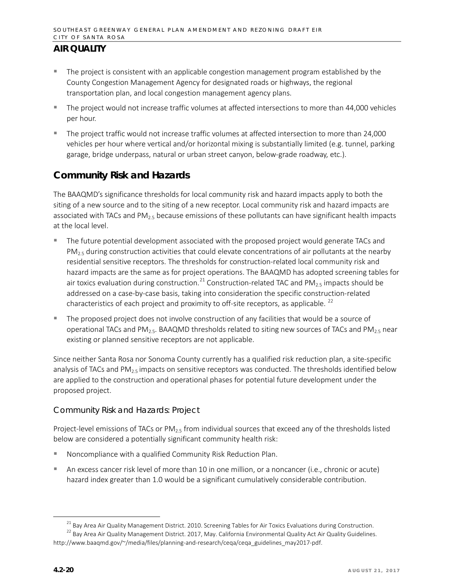- The project is consistent with an applicable congestion management program established by the County Congestion Management Agency for designated roads or highways, the regional transportation plan, and local congestion management agency plans.
- The project would not increase traffic volumes at affected intersections to more than 44,000 vehicles per hour.
- The project traffic would not increase traffic volumes at affected intersection to more than 24,000 vehicles per hour where vertical and/or horizontal mixing is substantially limited (e.g. tunnel, parking garage, bridge underpass, natural or urban street canyon, below-grade roadway, etc.).

## **Community Risk and Hazards**

The BAAQMD's significance thresholds for local community risk and hazard impacts apply to both the siting of a new source and to the siting of a new receptor. Local community risk and hazard impacts are associated with TACs and  $PM<sub>2.5</sub>$  because emissions of these pollutants can have significant health impacts at the local level.

- The future potential development associated with the proposed project would generate TACs and  $PM<sub>2.5</sub>$  during construction activities that could elevate concentrations of air pollutants at the nearby residential sensitive receptors. The thresholds for construction-related local community risk and hazard impacts are the same as for project operations. The BAAQMD has adopted screening tables for air toxics evaluation during construction.<sup>[21](#page-19-0)</sup> Construction-related TAC and PM<sub>2.5</sub> impacts should be addressed on a case-by-case basis, taking into consideration the specific construction-related characteristics of each project and proximity to off-site receptors, as applicable.<sup>[22](#page-19-1)</sup>
- The proposed project does not involve construction of any facilities that would be a source of operational TACs and PM<sub>2.5</sub>. BAAQMD thresholds related to siting new sources of TACs and PM<sub>2.5</sub> near existing or planned sensitive receptors are not applicable.

Since neither Santa Rosa nor Sonoma County currently has a qualified risk reduction plan, a site-specific analysis of TACs and  $PM_{2.5}$  impacts on sensitive receptors was conducted. The thresholds identified below are applied to the construction and operational phases for potential future development under the proposed project.

## *Community Risk and Hazards: Project*

Project-level emissions of TACs or  $PM_{2.5}$  from individual sources that exceed any of the thresholds listed below are considered a potentially significant community health risk:

- Noncompliance with a qualified Community Risk Reduction Plan.
- An excess cancer risk level of more than 10 in one million, or a noncancer (i.e., chronic or acute) hazard index greater than 1.0 would be a significant cumulatively considerable contribution.

<sup>&</sup>lt;sup>21</sup> Bay Area Air Quality Management District. 2010. Screening Tables for Air Toxics Evaluations during Construction.

<span id="page-19-1"></span><span id="page-19-0"></span><sup>&</sup>lt;sup>22</sup> Bay Area Air Quality Management District. 2017, May. California Environmental Quality Act Air Quality Guidelines. http://www.baaqmd.gov/~/media/files/planning-and-research/ceqa/ceqa\_guidelines\_may2017-pdf.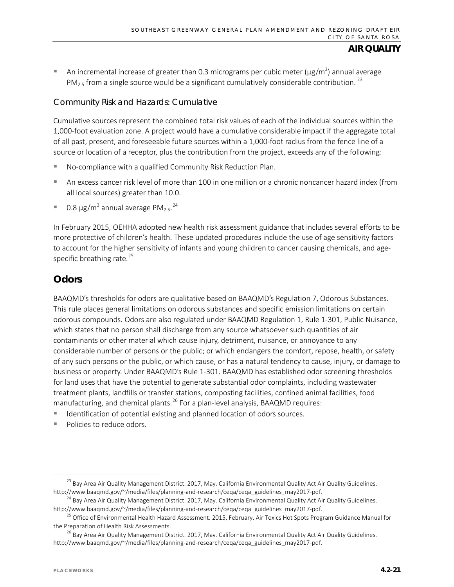An incremental increase of greater than 0.3 micrograms per cubic meter ( $\mu$ g/m<sup>3</sup>) annual average  $PM<sub>2.5</sub>$  from a single source would be a significant cumulatively considerable contribution.<sup>[23](#page-20-0)</sup>

## *Community Risk and Hazards: Cumulative*

Cumulative sources represent the combined total risk values of each of the individual sources within the 1,000-foot evaluation zone. A project would have a cumulative considerable impact if the aggregate total of all past, present, and foreseeable future sources within a 1,000-foot radius from the fence line of a source or location of a receptor, plus the contribution from the project, exceeds any of the following:

- No-compliance with a qualified Community Risk Reduction Plan.
- An excess cancer risk level of more than 100 in one million or a chronic noncancer hazard index (from all local sources) greater than 10.0.
- 0.8  $\mu$ g/m<sup>3</sup> annual average PM<sub>2.5</sub>.<sup>[24](#page-20-1)</sup>

In February 2015, OEHHA adopted new health risk assessment guidance that includes several efforts to be more protective of children's health. These updated procedures include the use of age sensitivity factors to account for the higher sensitivity of infants and young children to cancer causing chemicals, and age-specific breathing rate.<sup>[25](#page-20-2)</sup>

## **Odors**

BAAQMD's thresholds for odors are qualitative based on BAAQMD's Regulation 7, Odorous Substances. This rule places general limitations on odorous substances and specific emission limitations on certain odorous compounds. Odors are also regulated under BAAQMD Regulation 1, Rule 1-301, Public Nuisance, which states that no person shall discharge from any source whatsoever such quantities of air contaminants or other material which cause injury, detriment, nuisance, or annoyance to any considerable number of persons or the public; or which endangers the comfort, repose, health, or safety of any such persons or the public, or which cause, or has a natural tendency to cause, injury, or damage to business or property. Under BAAQMD's Rule 1-301. BAAQMD has established odor screening thresholds for land uses that have the potential to generate substantial odor complaints, including wastewater treatment plants, landfills or transfer stations, composting facilities, confined animal facilities, food manufacturing, and chemical plants.<sup>[26](#page-20-3)</sup> For a plan-level analysis, BAAQMD requires:

- Identification of potential existing and planned location of odors sources.
- Policies to reduce odors.

<span id="page-20-0"></span><sup>&</sup>lt;sup>23</sup> Bay Area Air Quality Management District. 2017, May. California Environmental Quality Act Air Quality Guidelines. http://www.baaqmd.gov/~/media/files/planning-and-research/ceqa/ceqa\_guidelines\_may2017-pdf.

<span id="page-20-1"></span><sup>&</sup>lt;sup>24</sup> Bay Area Air Quality Management District. 2017, May. California Environmental Quality Act Air Quality Guidelines. http://www.baaqmd.gov/~/media/files/planning-and-research/ceqa/ceqa\_guidelines\_may2017-pdf.

<span id="page-20-2"></span><sup>&</sup>lt;sup>25</sup> Office of Environmental Health Hazard Assessment. 2015, February. Air Toxics Hot Spots Program Guidance Manual for the Preparation of Health Risk Assessments.

<span id="page-20-3"></span><sup>&</sup>lt;sup>26</sup> Bay Area Air Quality Management District. 2017, May. California Environmental Quality Act Air Quality Guidelines. http://www.baaqmd.gov/~/media/files/planning-and-research/ceqa/ceqa\_guidelines\_may2017-pdf.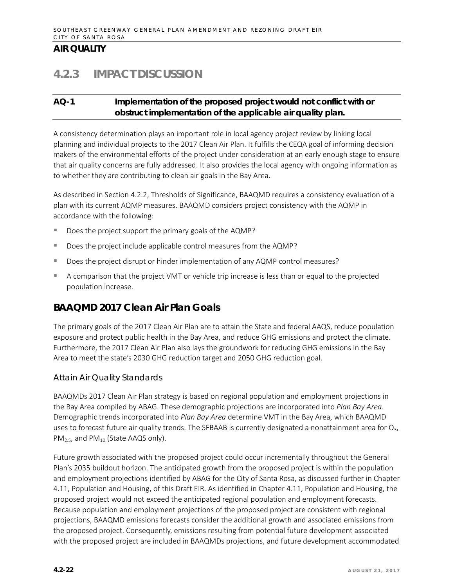# **4.2.3 IMPACT DISCUSSION**

### **AQ-1 Implementation of the proposed project would not conflict with or obstruct implementation of the applicable air quality plan.**

A consistency determination plays an important role in local agency project review by linking local planning and individual projects to the 2017 Clean Air Plan. It fulfills the CEQA goal of informing decision makers of the environmental efforts of the project under consideration at an early enough stage to ensure that air quality concerns are fully addressed. It also provides the local agency with ongoing information as to whether they are contributing to clean air goals in the Bay Area.

As described in Section 4.2.2, Thresholds of Significance, BAAQMD requires a consistency evaluation of a plan with its current AQMP measures. BAAQMD considers project consistency with the AQMP in accordance with the following:

- Does the project support the primary goals of the AQMP?
- Does the project include applicable control measures from the AQMP?
- Does the project disrupt or hinder implementation of any AQMP control measures?
- A comparison that the project VMT or vehicle trip increase is less than or equal to the projected population increase.

## **BAAQMD 2017 Clean Air Plan Goals**

The primary goals of the 2017 Clean Air Plan are to attain the State and federal AAQS, reduce population exposure and protect public health in the Bay Area, and reduce GHG emissions and protect the climate. Furthermore, the 2017 Clean Air Plan also lays the groundwork for reducing GHG emissions in the Bay Area to meet the state's 2030 GHG reduction target and 2050 GHG reduction goal.

#### *Attain Air Quality Standards*

BAAQMDs 2017 Clean Air Plan strategy is based on regional population and employment projections in the Bay Area compiled by ABAG. These demographic projections are incorporated into *Plan Bay Area*. Demographic trends incorporated into *Plan Bay Area* determine VMT in the Bay Area, which BAAQMD uses to forecast future air quality trends. The SFBAAB is currently designated a nonattainment area for  $O_3$ ,  $PM_{2.5}$ , and  $PM_{10}$  (State AAQS only).

Future growth associated with the proposed project could occur incrementally throughout the General Plan's 2035 buildout horizon. The anticipated growth from the proposed project is within the population and employment projections identified by ABAG for the City of Santa Rosa, as discussed further in Chapter 4.11, Population and Housing, of this Draft EIR. As identified in Chapter 4.11, Population and Housing, the proposed project would not exceed the anticipated regional population and employment forecasts. Because population and employment projections of the proposed project are consistent with regional projections, BAAQMD emissions forecasts consider the additional growth and associated emissions from the proposed project. Consequently, emissions resulting from potential future development associated with the proposed project are included in BAAQMDs projections, and future development accommodated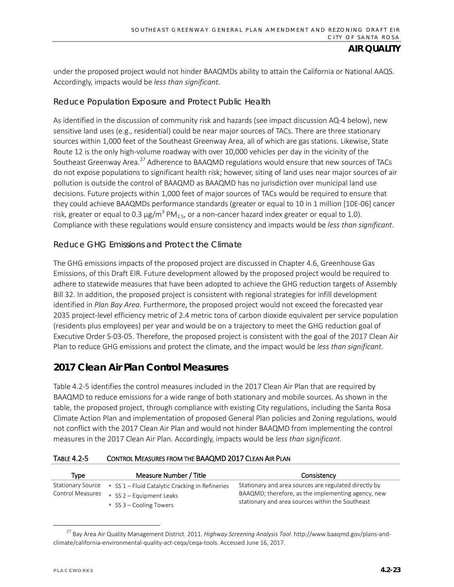under the proposed project would not hinder BAAQMDs ability to attain the California or National AAQS. Accordingly, impacts would be *less than significant*.

### *Reduce Population Exposure and Protect Public Health*

As identified in the discussion of community risk and hazards (see impact discussion AQ-4 below), new sensitive land uses (e.g., residential) could be near major sources of TACs. There are three stationary sources within 1,000 feet of the Southeast Greenway Area, all of which are gas stations. Likewise, State Route 12 is the only high-volume roadway with over 10,000 vehicles per day in the vicinity of the Southeast Greenway Area.<sup>[27](#page-22-0)</sup> Adherence to BAAQMD regulations would ensure that new sources of TACs do not expose populations to significant health risk; however, siting of land uses near major sources of air pollution is outside the control of BAAQMD as BAAQMD has no jurisdiction over municipal land use decisions. Future projects within 1,000 feet of major sources of TACs would be required to ensure that they could achieve BAAQMDs performance standards (greater or equal to 10 in 1 million [10E-06] cancer risk, greater or equal to 0.3  $\mu$ g/m<sup>3</sup> PM<sub>2.5</sub>, or a non-cancer hazard index greater or equal to 1.0). Compliance with these regulations would ensure consistency and impacts would be *less than significant*.

#### *Reduce GHG Emissions and Protect the Climate*

The GHG emissions impacts of the proposed project are discussed in Chapter 4.6, Greenhouse Gas Emissions, of this Draft EIR. Future development allowed by the proposed project would be required to adhere to statewide measures that have been adopted to achieve the GHG reduction targets of Assembly Bill 32. In addition, the proposed project is consistent with regional strategies for infill development identified in *Plan Bay Area*. Furthermore, the proposed project would not exceed the forecasted year 2035 project-level efficiency metric of 2.4 metric tons of carbon dioxide equivalent per service population (residents plus employees) per year and would be on a trajectory to meet the GHG reduction goal of Executive Order S-03-05. Therefore, the proposed project is consistent with the goal of the 2017 Clean Air Plan to reduce GHG emissions and protect the climate, and the impact would be *less than significant*.

## **2017 Clean Air Plan Control Measures**

Table 4.2-5 identifies the control measures included in the 2017 Clean Air Plan that are required by BAAQMD to reduce emissions for a wide range of both stationary and mobile sources. As shown in the table, the proposed project, through compliance with existing City regulations, including the Santa Rosa Climate Action Plan and implementation of proposed General Plan policies and Zoning regulations, would not conflict with the 2017 Clean Air Plan and would not hinder BAAQMD from implementing the control measures in the 2017 Clean Air Plan. Accordingly, impacts would be *less than significant*.

| <b>TABLE 4.2-5</b> | CONTROL MEASURES FROM THE BAAQMD 2017 CLEAN AIR PLAN |
|--------------------|------------------------------------------------------|
|                    |                                                      |

| <b>Type</b>             | Measure Number / Title                          | Consistency                                                                                                 |
|-------------------------|-------------------------------------------------|-------------------------------------------------------------------------------------------------------------|
| Stationary Source       | SS $1$ – Fluid Catalytic Cracking in Refineries | Stationary and area sources are regulated directly by<br>BAAQMD; therefore, as the implementing agency, new |
| <b>Control Measures</b> | SS 2 - Equipment Leaks<br>SS 3 – Cooling Towers | stationary and area sources within the Southeast                                                            |

<span id="page-22-0"></span> <sup>27</sup> Bay Area Air Quality Management District. 2011. *Highway Screening Analysis Tool*[. http://www.baaqmd.gov/plans-and](http://www.baaqmd.gov/plans-and-climate/california-environmental-quality-act-ceqa/ceqa-tools)[climate/california-environmental-quality-act-ceqa/ceqa-tools.](http://www.baaqmd.gov/plans-and-climate/california-environmental-quality-act-ceqa/ceqa-tools) Accessed June 16, 2017.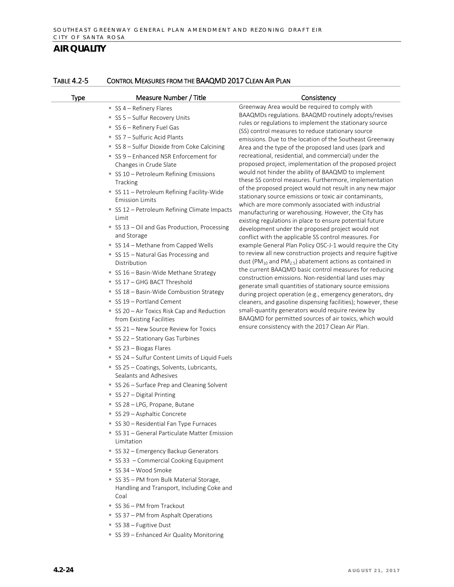| Type | Measure Number / Title                                                 | Consistency                                                                                                                                      |
|------|------------------------------------------------------------------------|--------------------------------------------------------------------------------------------------------------------------------------------------|
|      | SS 4 - Refinery Flares                                                 | Greenway Area would be required to comply with                                                                                                   |
|      | SS 5 - Sulfur Recovery Units                                           | BAAQMDs regulations. BAAQMD routinely adopts/revises<br>rules or regulations to implement the stationary source                                  |
|      | SS 6 - Refinery Fuel Gas                                               | (SS) control measures to reduce stationary source                                                                                                |
|      | SS 7 - Sulfuric Acid Plants                                            | emissions. Due to the location of the Southeast Greenway                                                                                         |
|      | SS 8 - Sulfur Dioxide from Coke Calcining                              | Area and the type of the proposed land uses (park and                                                                                            |
|      | SS 9 - Enhanced NSR Enforcement for                                    | recreational, residential, and commercial) under the                                                                                             |
|      | Changes in Crude Slate                                                 | proposed project, implementation of the proposed project<br>would not hinder the ability of BAAQMD to implement                                  |
|      | SS 10 - Petroleum Refining Emissions<br>Tracking                       | these SS control measures. Furthermore, implementation                                                                                           |
|      | SS 11 - Petroleum Refining Facility-Wide<br><b>Emission Limits</b>     | of the proposed project would not result in any new major<br>stationary source emissions or toxic air contaminants,                              |
|      | SS 12 - Petroleum Refining Climate Impacts                             | which are more commonly associated with industrial                                                                                               |
|      | Limit                                                                  | manufacturing or warehousing. However, the City has<br>existing regulations in place to ensure potential future                                  |
|      | SS 13 – Oil and Gas Production, Processing                             | development under the proposed project would not                                                                                                 |
|      | and Storage                                                            | conflict with the applicable SS control measures. For                                                                                            |
|      | SS 14 - Methane from Capped Wells                                      | example General Plan Policy OSC-J-1 would require the City                                                                                       |
|      | SS 15 - Natural Gas Processing and<br>Distribution                     | to review all new construction projects and require fugitive<br>dust (PM <sub>10</sub> and PM <sub>2.5</sub> ) abatement actions as contained in |
|      | SS 16 - Basin-Wide Methane Strategy                                    | the current BAAQMD basic control measures for reducing                                                                                           |
|      | SS 17 - GHG BACT Threshold                                             | construction emissions. Non-residential land uses may                                                                                            |
|      | SS 18 - Basin-Wide Combustion Strategy                                 | generate small quantities of stationary source emissions<br>during project operation (e.g., emergency generators, dry                            |
|      | SS 19 - Portland Cement                                                | cleaners, and gasoline dispensing facilities); however, these                                                                                    |
|      | SS 20 - Air Toxics Risk Cap and Reduction                              | small-quantity generators would require review by                                                                                                |
|      | from Existing Facilities                                               | BAAQMD for permitted sources of air toxics, which would<br>ensure consistency with the 2017 Clean Air Plan.                                      |
|      | SS 21 - New Source Review for Toxics                                   |                                                                                                                                                  |
|      | SS 22 - Stationary Gas Turbines                                        |                                                                                                                                                  |
|      | SS 23 - Biogas Flares<br>SS 24 - Sulfur Content Limits of Liquid Fuels |                                                                                                                                                  |
|      | SS 25 - Coatings, Solvents, Lubricants,                                |                                                                                                                                                  |
|      | Sealants and Adhesives                                                 |                                                                                                                                                  |
|      | SS 26 - Surface Prep and Cleaning Solvent                              |                                                                                                                                                  |
|      | SS 27 - Digital Printing                                               |                                                                                                                                                  |
|      | SS 28 - LPG, Propane, Butane                                           |                                                                                                                                                  |
|      | SS 29 - Asphaltic Concrete                                             |                                                                                                                                                  |
|      | SS 30 - Residential Fan Type Furnaces                                  |                                                                                                                                                  |
|      | SS 31 - General Particulate Matter Emission<br>Limitation              |                                                                                                                                                  |
|      | SS 32 - Emergency Backup Generators                                    |                                                                                                                                                  |
|      | SS 33 - Commercial Cooking Equipment                                   |                                                                                                                                                  |
|      | SS 34 - Wood Smoke                                                     |                                                                                                                                                  |
|      | SS 35 - PM from Bulk Material Storage,                                 |                                                                                                                                                  |
|      | Handling and Transport, Including Coke and<br>Coal                     |                                                                                                                                                  |
|      | SS 36 - PM from Trackout                                               |                                                                                                                                                  |
|      | SS 37 - PM from Asphalt Operations                                     |                                                                                                                                                  |
|      | SS 38 - Fugitive Dust                                                  |                                                                                                                                                  |
|      | SS 39 - Enhanced Air Quality Monitoring                                |                                                                                                                                                  |

#### TABLE 4.2-5 CONTROL MEASURES FROM THE BAAQMD 2017 CLEAN AIR PLAN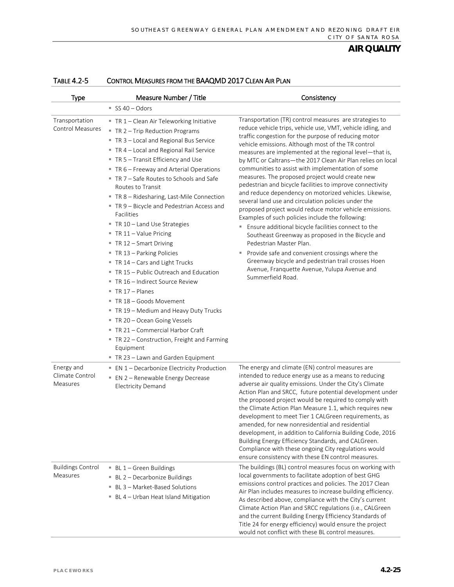| Type                                      | Measure Number / Title                                                                                                                                                                                                                                                                                                                                                                                                                                                                                                                                                                                                                                                                                                                                                                                                                                                                                                                     | Consistency                                                                                                                                                                                                                                                                                                                                                                                                                                                                                                                                                                                                                                                                                                                                                                                                                                                                                                                                                                                                                                                                                  |
|-------------------------------------------|--------------------------------------------------------------------------------------------------------------------------------------------------------------------------------------------------------------------------------------------------------------------------------------------------------------------------------------------------------------------------------------------------------------------------------------------------------------------------------------------------------------------------------------------------------------------------------------------------------------------------------------------------------------------------------------------------------------------------------------------------------------------------------------------------------------------------------------------------------------------------------------------------------------------------------------------|----------------------------------------------------------------------------------------------------------------------------------------------------------------------------------------------------------------------------------------------------------------------------------------------------------------------------------------------------------------------------------------------------------------------------------------------------------------------------------------------------------------------------------------------------------------------------------------------------------------------------------------------------------------------------------------------------------------------------------------------------------------------------------------------------------------------------------------------------------------------------------------------------------------------------------------------------------------------------------------------------------------------------------------------------------------------------------------------|
|                                           | SS 40 - Odors                                                                                                                                                                                                                                                                                                                                                                                                                                                                                                                                                                                                                                                                                                                                                                                                                                                                                                                              |                                                                                                                                                                                                                                                                                                                                                                                                                                                                                                                                                                                                                                                                                                                                                                                                                                                                                                                                                                                                                                                                                              |
| Transportation<br><b>Control Measures</b> | TR 1 - Clean Air Teleworking Initiative<br>" TR 2 - Trip Reduction Programs<br>TR 3 - Local and Regional Bus Service<br>TR 4 - Local and Regional Rail Service<br>■ TR 5 – Transit Efficiency and Use<br>TR 6 - Freeway and Arterial Operations<br>TR 7 - Safe Routes to Schools and Safe<br>Routes to Transit<br>" TR 8 - Ridesharing, Last-Mile Connection<br>TR 9 - Bicycle and Pedestrian Access and<br>Facilities<br>TR 10 - Land Use Strategies<br>$\blacksquare$ TR 11 - Value Pricing<br>■ TR 12 – Smart Driving<br>TR 13 - Parking Policies<br>TR 14 - Cars and Light Trucks<br>TR 15 - Public Outreach and Education<br>TR 16 - Indirect Source Review<br>$\blacksquare$ TR 17 - Planes<br>■ TR 18 – Goods Movement<br>TR 19 - Medium and Heavy Duty Trucks<br>TR 20 - Ocean Going Vessels<br>TR 21 - Commercial Harbor Craft<br>" TR 22 - Construction, Freight and Farming<br>Equipment<br>■ TR 23 – Lawn and Garden Equipment | Transportation (TR) control measures are strategies to<br>reduce vehicle trips, vehicle use, VMT, vehicle idling, and<br>traffic congestion for the purpose of reducing motor<br>vehicle emissions. Although most of the TR control<br>measures are implemented at the regional level-that is,<br>by MTC or Caltrans-the 2017 Clean Air Plan relies on local<br>communities to assist with implementation of some<br>measures. The proposed project would create new<br>pedestrian and bicycle facilities to improve connectivity<br>and reduce dependency on motorized vehicles. Likewise,<br>several land use and circulation policies under the<br>proposed project would reduce motor vehicle emissions.<br>Examples of such policies include the following:<br>" Ensure additional bicycle facilities connect to the<br>Southeast Greenway as proposed in the Bicycle and<br>Pedestrian Master Plan.<br>Provide safe and convenient crossings where the<br>٠<br>Greenway bicycle and pedestrian trail crosses Hoen<br>Avenue, Franquette Avenue, Yulupa Avenue and<br>Summerfield Road. |
| Energy and<br>Climate Control<br>Measures | ■ EN 1 - Decarbonize Electricity Production<br>" EN 2 - Renewable Energy Decrease<br><b>Electricity Demand</b>                                                                                                                                                                                                                                                                                                                                                                                                                                                                                                                                                                                                                                                                                                                                                                                                                             | The energy and climate (EN) control measures are<br>intended to reduce energy use as a means to reducing<br>adverse air quality emissions. Under the City's Climate<br>Action Plan and SRCC, future potential development under<br>the proposed project would be required to comply with<br>the Climate Action Plan Measure 1.1, which requires new<br>development to meet Tier 1 CALGreen requirements, as<br>amended, for new nonresidential and residential<br>development, in addition to California Building Code, 2016<br>Building Energy Efficiency Standards, and CALGreen.<br>Compliance with these ongoing City regulations would<br>ensure consistency with these EN control measures.                                                                                                                                                                                                                                                                                                                                                                                            |
| <b>Buildings Control</b><br>Measures      | $\blacksquare$ BL 1 – Green Buildings<br>■ BL 2 – Decarbonize Buildings<br>■ BL 3 - Market-Based Solutions<br>BL 4 - Urban Heat Island Mitigation                                                                                                                                                                                                                                                                                                                                                                                                                                                                                                                                                                                                                                                                                                                                                                                          | The buildings (BL) control measures focus on working with<br>local governments to facilitate adoption of best GHG<br>emissions control practices and policies. The 2017 Clean<br>Air Plan includes measures to increase building efficiency.<br>As described above, compliance with the City's current<br>Climate Action Plan and SRCC regulations (i.e., CALGreen<br>and the current Building Energy Efficiency Standards of<br>Title 24 for energy efficiency) would ensure the project<br>would not conflict with these BL control measures.                                                                                                                                                                                                                                                                                                                                                                                                                                                                                                                                              |

#### TABLE 4.2-5 CONTROL MEASURES FROM THE BAAQMD 2017 CLEAN AIR PLAN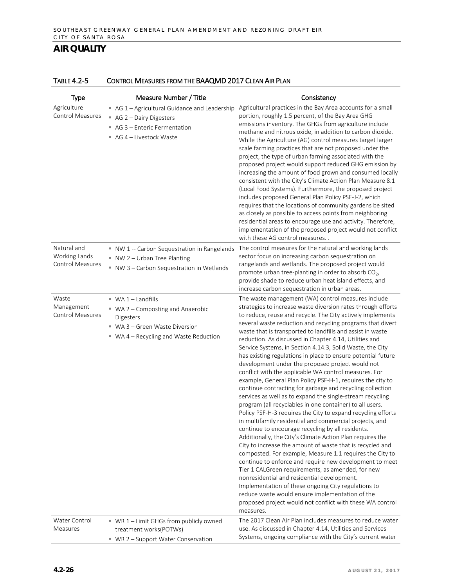| <b>Type</b>                                             | Measure Number / Title                                                                                                                               | Consistency                                                                                                                                                                                                                                                                                                                                                                                                                                                                                                                                                                                                                                                                                                                                                                                                                                                                                                                                                                                                                                                                                                                                                                                                                                                                                                                                                                                                                                                                                                                                                                                   |
|---------------------------------------------------------|------------------------------------------------------------------------------------------------------------------------------------------------------|-----------------------------------------------------------------------------------------------------------------------------------------------------------------------------------------------------------------------------------------------------------------------------------------------------------------------------------------------------------------------------------------------------------------------------------------------------------------------------------------------------------------------------------------------------------------------------------------------------------------------------------------------------------------------------------------------------------------------------------------------------------------------------------------------------------------------------------------------------------------------------------------------------------------------------------------------------------------------------------------------------------------------------------------------------------------------------------------------------------------------------------------------------------------------------------------------------------------------------------------------------------------------------------------------------------------------------------------------------------------------------------------------------------------------------------------------------------------------------------------------------------------------------------------------------------------------------------------------|
| Agriculture<br>Control Measures                         | AG 1 - Agricultural Guidance and Leadership<br>AG 2 - Dairy Digesters<br>AG 3 - Enteric Fermentation<br>AG 4 - Livestock Waste                       | Agricultural practices in the Bay Area accounts for a small<br>portion, roughly 1.5 percent, of the Bay Area GHG<br>emissions inventory. The GHGs from agriculture include<br>methane and nitrous oxide, in addition to carbon dioxide.<br>While the Agriculture (AG) control measures target larger<br>scale farming practices that are not proposed under the<br>project, the type of urban farming associated with the<br>proposed project would support reduced GHG emission by<br>increasing the amount of food grown and consumed locally<br>consistent with the City's Climate Action Plan Measure 8.1<br>(Local Food Systems). Furthermore, the proposed project<br>includes proposed General Plan Policy PSF-J-2, which<br>requires that the locations of community gardens be sited<br>as closely as possible to access points from neighboring<br>residential areas to encourage use and activity. Therefore,<br>implementation of the proposed project would not conflict<br>with these AG control measures                                                                                                                                                                                                                                                                                                                                                                                                                                                                                                                                                                       |
| Natural and<br>Working Lands<br><b>Control Measures</b> | NW 1 -- Carbon Sequestration in Rangelands<br>NW 2 - Urban Tree Planting<br>NW 3 - Carbon Sequestration in Wetlands                                  | The control measures for the natural and working lands<br>sector focus on increasing carbon sequestration on<br>rangelands and wetlands. The proposed project would<br>promote urban tree-planting in order to absorb CO <sub>2</sub> ,<br>provide shade to reduce urban heat island effects, and<br>increase carbon sequestration in urban areas.                                                                                                                                                                                                                                                                                                                                                                                                                                                                                                                                                                                                                                                                                                                                                                                                                                                                                                                                                                                                                                                                                                                                                                                                                                            |
| Waste<br>Management<br>Control Measures                 | $W^*$ WA 1 – Landfills<br>■ WA 2 – Composting and Anaerobic<br>Digesters<br>■ WA 3 – Green Waste Diversion<br>■ WA 4 - Recycling and Waste Reduction | The waste management (WA) control measures include<br>strategies to increase waste diversion rates through efforts<br>to reduce, reuse and recycle. The City actively implements<br>several waste reduction and recycling programs that divert<br>waste that is transported to landfills and assist in waste<br>reduction. As discussed in Chapter 4.14, Utilities and<br>Service Systems, in Section 4.14.3, Solid Waste, the City<br>has existing regulations in place to ensure potential future<br>development under the proposed project would not<br>conflict with the applicable WA control measures. For<br>example, General Plan Policy PSF-H-1, requires the city to<br>continue contracting for garbage and recycling collection<br>services as well as to expand the single-stream recycling<br>program (all recyclables in one container) to all users.<br>Policy PSF-H-3 requires the City to expand recycling efforts<br>in multifamily residential and commercial projects, and<br>continue to encourage recycling by all residents.<br>Additionally, the City's Climate Action Plan requires the<br>City to increase the amount of waste that is recycled and<br>composted. For example, Measure 1.1 requires the City to<br>continue to enforce and require new development to meet<br>Tier 1 CALGreen requirements, as amended, for new<br>nonresidential and residential development.<br>Implementation of these ongoing City regulations to<br>reduce waste would ensure implementation of the<br>proposed project would not conflict with these WA control<br>measures. |
| Water Control<br>Measures                               | ■ WR 1 - Limit GHGs from publicly owned<br>treatment works(POTWs)<br>■ WR 2 - Support Water Conservation                                             | The 2017 Clean Air Plan includes measures to reduce water<br>use. As discussed in Chapter 4.14, Utilities and Services<br>Systems, ongoing compliance with the City's current water                                                                                                                                                                                                                                                                                                                                                                                                                                                                                                                                                                                                                                                                                                                                                                                                                                                                                                                                                                                                                                                                                                                                                                                                                                                                                                                                                                                                           |

#### TABLE 4.2-5 CONTROL MEASURES FROM THE BAAQMD 2017 CLEAN AIR PLAN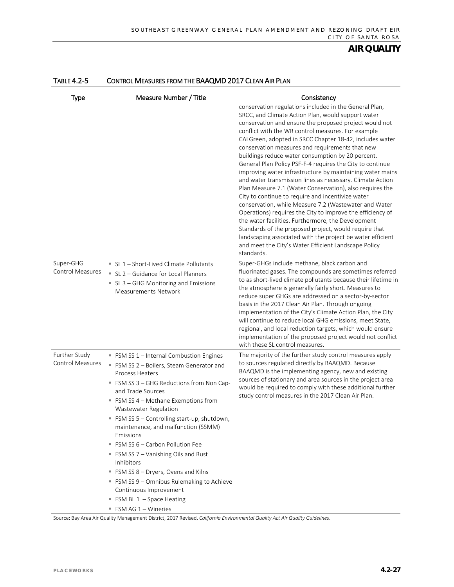| Type                                     | Measure Number / Title                                                                                                                                                                                                                                                                                                                                                                                                                                                                                                                                                                                                    | Consistency                                                                                                                                                                                                                                                                                                                                                                                                                                                                                                                                                                                                                                                                                                                                                                                                                                                                                                                                                                                                                                                                       |
|------------------------------------------|---------------------------------------------------------------------------------------------------------------------------------------------------------------------------------------------------------------------------------------------------------------------------------------------------------------------------------------------------------------------------------------------------------------------------------------------------------------------------------------------------------------------------------------------------------------------------------------------------------------------------|-----------------------------------------------------------------------------------------------------------------------------------------------------------------------------------------------------------------------------------------------------------------------------------------------------------------------------------------------------------------------------------------------------------------------------------------------------------------------------------------------------------------------------------------------------------------------------------------------------------------------------------------------------------------------------------------------------------------------------------------------------------------------------------------------------------------------------------------------------------------------------------------------------------------------------------------------------------------------------------------------------------------------------------------------------------------------------------|
|                                          |                                                                                                                                                                                                                                                                                                                                                                                                                                                                                                                                                                                                                           | conservation regulations included in the General Plan,<br>SRCC, and Climate Action Plan, would support water<br>conservation and ensure the proposed project would not<br>conflict with the WR control measures. For example<br>CALGreen, adopted in SRCC Chapter 18-42, includes water<br>conservation measures and requirements that new<br>buildings reduce water consumption by 20 percent.<br>General Plan Policy PSF-F-4 requires the City to continue<br>improving water infrastructure by maintaining water mains<br>and water transmission lines as necessary. Climate Action<br>Plan Measure 7.1 (Water Conservation), also requires the<br>City to continue to require and incentivize water<br>conservation, while Measure 7.2 (Wastewater and Water<br>Operations) requires the City to improve the efficiency of<br>the water facilities. Furthermore, the Development<br>Standards of the proposed project, would require that<br>landscaping associated with the project be water efficient<br>and meet the City's Water Efficient Landscape Policy<br>standards. |
| Super-GHG<br><b>Control Measures</b>     | ■ SL 1 - Short-Lived Climate Pollutants<br>SL 2 - Guidance for Local Planners<br>■ SL 3 – GHG Monitoring and Emissions<br><b>Measurements Network</b>                                                                                                                                                                                                                                                                                                                                                                                                                                                                     | Super-GHGs include methane, black carbon and<br>fluorinated gases. The compounds are sometimes referred<br>to as short-lived climate pollutants because their lifetime in<br>the atmosphere is generally fairly short. Measures to<br>reduce super GHGs are addressed on a sector-by-sector<br>basis in the 2017 Clean Air Plan. Through ongoing<br>implementation of the City's Climate Action Plan, the City<br>will continue to reduce local GHG emissions, meet State,<br>regional, and local reduction targets, which would ensure<br>implementation of the proposed project would not conflict<br>with these SL control measures.                                                                                                                                                                                                                                                                                                                                                                                                                                           |
| Further Study<br><b>Control Measures</b> | FSM SS 1 - Internal Combustion Engines<br>FSM SS 2 - Boilers, Steam Generator and<br><b>Process Heaters</b><br>■ FSM SS 3 – GHG Reductions from Non Cap-<br>and Trade Sources<br>FSM SS 4 - Methane Exemptions from<br>Wastewater Regulation<br>" FSM SS 5 - Controlling start-up, shutdown,<br>maintenance, and malfunction (SSMM)<br>Emissions<br>FSM SS 6 - Carbon Pollution Fee<br>■ FSM SS 7 – Vanishing Oils and Rust<br>Inhibitors<br>FSM SS 8 - Dryers, Ovens and Kilns<br>" FSM SS 9 - Omnibus Rulemaking to Achieve<br>Continuous Improvement<br>FSM BL 1 - Space Heating<br>$\blacksquare$ FSM AG 1 – Wineries | The majority of the further study control measures apply<br>to sources regulated directly by BAAQMD. Because<br>BAAQMD is the implementing agency, new and existing<br>sources of stationary and area sources in the project area<br>would be required to comply with these additional further<br>study control measures in the 2017 Clean Air Plan.                                                                                                                                                                                                                                                                                                                                                                                                                                                                                                                                                                                                                                                                                                                              |

#### TABLE 4.2-5 CONTROL MEASURES FROM THE BAAQMD 2017 CLEAN AIR PLAN

Source: Bay Area Air Quality Management District, 2017 Revised, *California Environmental Quality Act Air Quality Guidelines*.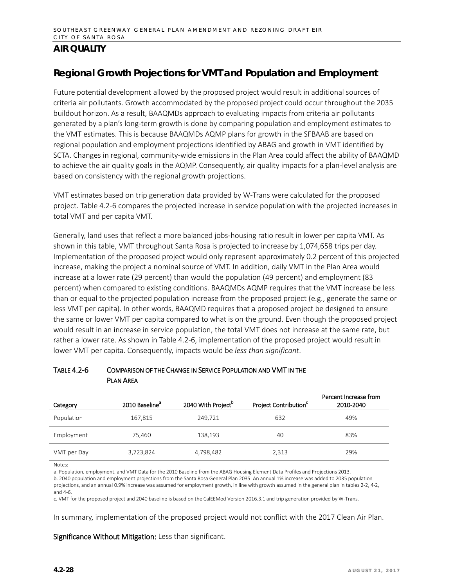## **Regional Growth Projections for VMT and Population and Employment**

Future potential development allowed by the proposed project would result in additional sources of criteria air pollutants. Growth accommodated by the proposed project could occur throughout the 2035 buildout horizon. As a result, BAAQMDs approach to evaluating impacts from criteria air pollutants generated by a plan's long-term growth is done by comparing population and employment estimates to the VMT estimates. This is because BAAQMDs AQMP plans for growth in the SFBAAB are based on regional population and employment projections identified by ABAG and growth in VMT identified by SCTA. Changes in regional, community-wide emissions in the Plan Area could affect the ability of BAAQMD to achieve the air quality goals in the AQMP. Consequently, air quality impacts for a plan-level analysis are based on consistency with the regional growth projections.

VMT estimates based on trip generation data provided by W-Trans were calculated for the proposed project. Table 4.2-6 compares the projected increase in service population with the projected increases in total VMT and per capita VMT.

Generally, land uses that reflect a more balanced jobs-housing ratio result in lower per capita VMT. As shown in this table, VMT throughout Santa Rosa is projected to increase by 1,074,658 trips per day. Implementation of the proposed project would only represent approximately 0.2 percent of this projected increase, making the project a nominal source of VMT. In addition, daily VMT in the Plan Area would increase at a lower rate (29 percent) than would the population (49 percent) and employment (83 percent) when compared to existing conditions. BAAQMDs AQMP requires that the VMT increase be less than or equal to the projected population increase from the proposed project (e.g., generate the same or less VMT per capita). In other words, BAAQMD requires that a proposed project be designed to ensure the same or lower VMT per capita compared to what is on the ground. Even though the proposed project would result in an increase in service population, the total VMT does not increase at the same rate, but rather a lower rate. As shown in Table 4.2-6, implementation of the proposed project would result in lower VMT per capita. Consequently, impacts would be *less than significant*.

| Category    | 2010 Baseline <sup>®</sup> | 2040 With Project <sup>b</sup> | Project Contribution <sup>c</sup> | Percent Increase from<br>2010-2040 |
|-------------|----------------------------|--------------------------------|-----------------------------------|------------------------------------|
| Population  | 167,815                    | 249,721                        | 632                               | 49%                                |
| Employment  | 75,460                     | 138,193                        | 40                                | 83%                                |
| VMT per Day | 3,723,824                  | 4,798,482                      | 2,313                             | 29%                                |

#### TABLE 4.2-6 COMPARISON OF THE CHANGE IN SERVICE POPULATION AND VMT IN THE PLAN AREA

Notes:

a. Population, employment, and VMT Data for the 2010 Baseline from the ABAG Housing Element Data Profiles and Projections 2013.

b. 2040 population and employment projections from the Santa Rosa General Plan 2035. An annual 1% increase was added to 2035 population projections, and an annual 0.9% increase was assumed for employment growth, in line with growth assumed in the general plan in tables 2-2, 4-2,

and 4-6.

c. VMT for the proposed project and 2040 baseline is based on the CalEEMod Version 2016.3.1 and trip generation provided by W-Trans.

In summary, implementation of the proposed project would not conflict with the 2017 Clean Air Plan.

Significance Without Mitigation: Less than significant.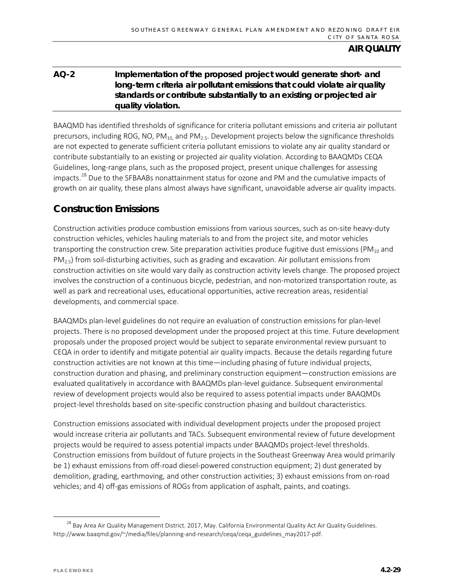## **AQ-2 Implementation of the proposed project would generate short- and long-term criteria air pollutant emissions that could violate air quality standards or contribute substantially to an existing or projected air quality violation.**

BAAQMD has identified thresholds of significance for criteria pollutant emissions and criteria air pollutant precursors, including ROG, NO,  $PM_{10}$  and  $PM_{2.5}$ . Development projects below the significance thresholds are not expected to generate sufficient criteria pollutant emissions to violate any air quality standard or contribute substantially to an existing or projected air quality violation. According to BAAQMDs CEQA Guidelines, long-range plans, such as the proposed project, present unique challenges for assessing impacts.<sup>[28](#page-28-0)</sup> Due to the SFBAABs nonattainment status for ozone and PM and the cumulative impacts of growth on air quality, these plans almost always have significant, unavoidable adverse air quality impacts.

## **Construction Emissions**

Construction activities produce combustion emissions from various sources, such as on-site heavy-duty construction vehicles, vehicles hauling materials to and from the project site, and motor vehicles transporting the construction crew. Site preparation activities produce fugitive dust emissions ( $PM_{10}$  and  $PM_{2.5}$ ) from soil-disturbing activities, such as grading and excavation. Air pollutant emissions from construction activities on site would vary daily as construction activity levels change. The proposed project involves the construction of a continuous bicycle, pedestrian, and non-motorized transportation route, as well as park and recreational uses, educational opportunities, active recreation areas, residential developments, and commercial space.

BAAQMDs plan-level guidelines do not require an evaluation of construction emissions for plan-level projects. There is no proposed development under the proposed project at this time. Future development proposals under the proposed project would be subject to separate environmental review pursuant to CEQA in order to identify and mitigate potential air quality impacts. Because the details regarding future construction activities are not known at this time—including phasing of future individual projects, construction duration and phasing, and preliminary construction equipment—construction emissions are evaluated qualitatively in accordance with BAAQMDs plan-level guidance. Subsequent environmental review of development projects would also be required to assess potential impacts under BAAQMDs project-level thresholds based on site-specific construction phasing and buildout characteristics.

Construction emissions associated with individual development projects under the proposed project would increase criteria air pollutants and TACs. Subsequent environmental review of future development projects would be required to assess potential impacts under BAAQMDs project-level thresholds. Construction emissions from buildout of future projects in the Southeast Greenway Area would primarily be 1) exhaust emissions from off-road diesel-powered construction equipment; 2) dust generated by demolition, grading, earthmoving, and other construction activities; 3) exhaust emissions from on-road vehicles; and 4) off-gas emissions of ROGs from application of asphalt, paints, and coatings.

<span id="page-28-0"></span><sup>&</sup>lt;sup>28</sup> Bay Area Air Quality Management District. 2017, May. California Environmental Quality Act Air Quality Guidelines. http://www.baaqmd.gov/~/media/files/planning-and-research/ceqa/ceqa\_guidelines\_may2017-pdf.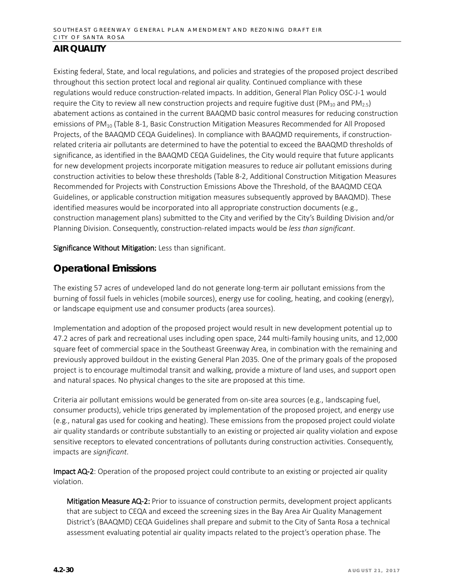Existing federal, State, and local regulations, and policies and strategies of the proposed project described throughout this section protect local and regional air quality. Continued compliance with these regulations would reduce construction-related impacts. In addition, General Plan Policy OSC-J-1 would require the City to review all new construction projects and require fugitive dust (PM<sub>10</sub> and PM<sub>2.5</sub>) abatement actions as contained in the current BAAQMD basic control measures for reducing construction emissions of PM<sub>10</sub> (Table 8-1, Basic Construction Mitigation Measures Recommended for All Proposed Projects, of the BAAQMD CEQA Guidelines). In compliance with BAAQMD requirements, if constructionrelated criteria air pollutants are determined to have the potential to exceed the BAAQMD thresholds of significance, as identified in the BAAQMD CEQA Guidelines, the City would require that future applicants for new development projects incorporate mitigation measures to reduce air pollutant emissions during construction activities to below these thresholds (Table 8-2, Additional Construction Mitigation Measures Recommended for Projects with Construction Emissions Above the Threshold, of the BAAQMD CEQA Guidelines, or applicable construction mitigation measures subsequently approved by BAAQMD). These identified measures would be incorporated into all appropriate construction documents (e.g., construction management plans) submitted to the City and verified by the City's Building Division and/or Planning Division. Consequently, construction-related impacts would be *less than significant*.

Significance Without Mitigation: Less than significant.

## **Operational Emissions**

The existing 57 acres of undeveloped land do not generate long-term air pollutant emissions from the burning of fossil fuels in vehicles (mobile sources), energy use for cooling, heating, and cooking (energy), or landscape equipment use and consumer products (area sources).

Implementation and adoption of the proposed project would result in new development potential up to 47.2 acres of park and recreational uses including open space, 244 multi-family housing units, and 12,000 square feet of commercial space in the Southeast Greenway Area, in combination with the remaining and previously approved buildout in the existing General Plan 2035*.* One of the primary goals of the proposed project is to encourage multimodal transit and walking, provide a mixture of land uses, and support open and natural spaces. No physical changes to the site are proposed at this time.

Criteria air pollutant emissions would be generated from on-site area sources (e.g., landscaping fuel, consumer products), vehicle trips generated by implementation of the proposed project, and energy use (e.g., natural gas used for cooking and heating). These emissions from the proposed project could violate air quality standards or contribute substantially to an existing or projected air quality violation and expose sensitive receptors to elevated concentrations of pollutants during construction activities. Consequently, impacts are *significant*.

Impact AQ-2: Operation of the proposed project could contribute to an existing or projected air quality violation.

Mitigation Measure AQ-2: Prior to issuance of construction permits, development project applicants that are subject to CEQA and exceed the screening sizes in the Bay Area Air Quality Management District's (BAAQMD) CEQA Guidelines shall prepare and submit to the City of Santa Rosa a technical assessment evaluating potential air quality impacts related to the project's operation phase. The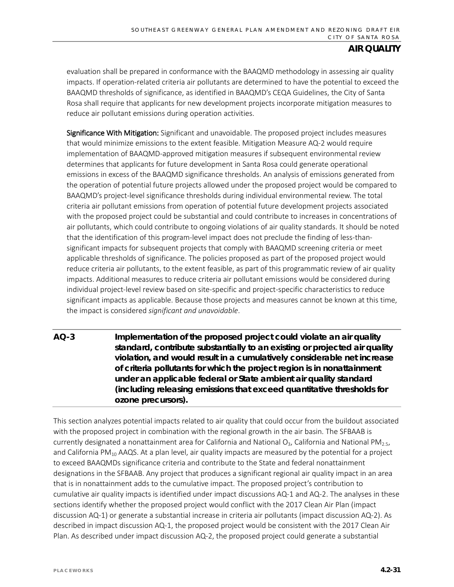evaluation shall be prepared in conformance with the BAAQMD methodology in assessing air quality impacts. If operation-related criteria air pollutants are determined to have the potential to exceed the BAAQMD thresholds of significance, as identified in BAAQMD's CEQA Guidelines, the City of Santa Rosa shall require that applicants for new development projects incorporate mitigation measures to reduce air pollutant emissions during operation activities.

Significance With Mitigation: Significant and unavoidable. The proposed project includes measures that would minimize emissions to the extent feasible. Mitigation Measure AQ-2 would require implementation of BAAQMD-approved mitigation measures if subsequent environmental review determines that applicants for future development in Santa Rosa could generate operational emissions in excess of the BAAQMD significance thresholds. An analysis of emissions generated from the operation of potential future projects allowed under the proposed project would be compared to BAAQMD's project-level significance thresholds during individual environmental review. The total criteria air pollutant emissions from operation of potential future development projects associated with the proposed project could be substantial and could contribute to increases in concentrations of air pollutants, which could contribute to ongoing violations of air quality standards. It should be noted that the identification of this program-level impact does not preclude the finding of less-thansignificant impacts for subsequent projects that comply with BAAQMD screening criteria or meet applicable thresholds of significance. The policies proposed as part of the proposed project would reduce criteria air pollutants, to the extent feasible, as part of this programmatic review of air quality impacts. Additional measures to reduce criteria air pollutant emissions would be considered during individual project-level review based on site-specific and project-specific characteristics to reduce significant impacts as applicable. Because those projects and measures cannot be known at this time, the impact is considered *significant and unavoidable*.

**AQ-3 Implementation of the proposed project could violate an air quality standard, contribute substantially to an existing or projected air quality violation, and would result in a cumulatively considerable net increase of criteria pollutants for which the project region is in nonattainment under an applicable federal or State ambient air quality standard (including releasing emissions that exceed quantitative thresholds for ozone precursors).**

This section analyzes potential impacts related to air quality that could occur from the buildout associated with the proposed project in combination with the regional growth in the air basin. The SFBAAB is currently designated a nonattainment area for California and National O<sub>3</sub>, California and National PM<sub>2.5</sub>, and California PM<sub>10</sub> AAQS. At a plan level, air quality impacts are measured by the potential for a project to exceed BAAQMDs significance criteria and contribute to the State and federal nonattainment designations in the SFBAAB. Any project that produces a significant regional air quality impact in an area that is in nonattainment adds to the cumulative impact. The proposed project's contribution to cumulative air quality impacts is identified under impact discussions AQ-1 and AQ-2. The analyses in these sections identify whether the proposed project would conflict with the 2017 Clean Air Plan (impact discussion AQ-1) or generate a substantial increase in criteria air pollutants (impact discussion AQ-2). As described in impact discussion AQ-1, the proposed project would be consistent with the 2017 Clean Air Plan. As described under impact discussion AQ-2, the proposed project could generate a substantial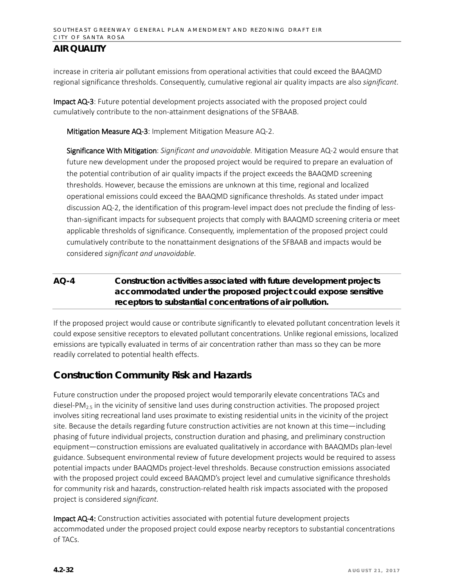increase in criteria air pollutant emissions from operational activities that could exceed the BAAQMD regional significance thresholds. Consequently, cumulative regional air quality impacts are also *significant*.

Impact AQ-3: Future potential development projects associated with the proposed project could cumulatively contribute to the non-attainment designations of the SFBAAB.

Mitigation Measure AQ-3: Implement Mitigation Measure AQ-2.

Significance With Mitigation: *Significant and unavoidable.* Mitigation Measure AQ-2 would ensure that future new development under the proposed project would be required to prepare an evaluation of the potential contribution of air quality impacts if the project exceeds the BAAQMD screening thresholds. However, because the emissions are unknown at this time, regional and localized operational emissions could exceed the BAAQMD significance thresholds. As stated under impact discussion AQ-2, the identification of this program-level impact does not preclude the finding of lessthan-significant impacts for subsequent projects that comply with BAAQMD screening criteria or meet applicable thresholds of significance. Consequently, implementation of the proposed project could cumulatively contribute to the nonattainment designations of the SFBAAB and impacts would be considered *significant and unavoidable*.

## **AQ-4 Construction activities associated with future development projects accommodated under the proposed project could expose sensitive receptors to substantial concentrations of air pollution.**

If the proposed project would cause or contribute significantly to elevated pollutant concentration levels it could expose sensitive receptors to elevated pollutant concentrations. Unlike regional emissions, localized emissions are typically evaluated in terms of air concentration rather than mass so they can be more readily correlated to potential health effects.

## **Construction Community Risk and Hazards**

Future construction under the proposed project would temporarily elevate concentrations TACs and diesel-PM<sub>2.5</sub> in the vicinity of sensitive land uses during construction activities. The proposed project involves siting recreational land uses proximate to existing residential units in the vicinity of the project site. Because the details regarding future construction activities are not known at this time—including phasing of future individual projects, construction duration and phasing, and preliminary construction equipment—construction emissions are evaluated qualitatively in accordance with BAAQMDs plan-level guidance. Subsequent environmental review of future development projects would be required to assess potential impacts under BAAQMDs project-level thresholds. Because construction emissions associated with the proposed project could exceed BAAQMD's project level and cumulative significance thresholds for community risk and hazards, construction-related health risk impacts associated with the proposed project is considered *significant*.

Impact AQ-4: Construction activities associated with potential future development projects accommodated under the proposed project could expose nearby receptors to substantial concentrations of TACs.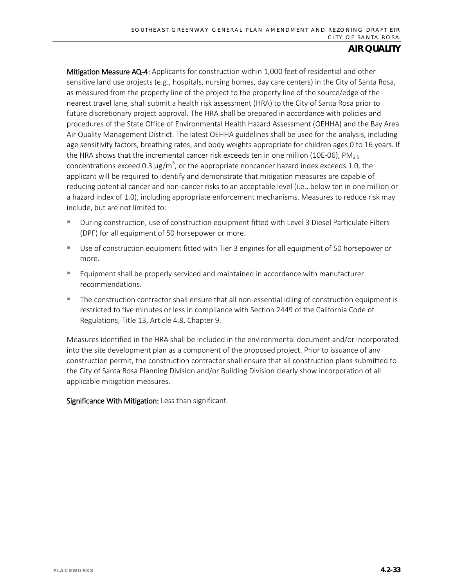Mitigation Measure AQ-4: Applicants for construction within 1,000 feet of residential and other sensitive land use projects (e.g., hospitals, nursing homes, day care centers) in the City of Santa Rosa, as measured from the property line of the project to the property line of the source/edge of the nearest travel lane, shall submit a health risk assessment (HRA) to the City of Santa Rosa prior to future discretionary project approval. The HRA shall be prepared in accordance with policies and procedures of the State Office of Environmental Health Hazard Assessment (OEHHA) and the Bay Area Air Quality Management District. The latest OEHHA guidelines shall be used for the analysis, including age sensitivity factors, breathing rates, and body weights appropriate for children ages 0 to 16 years. If the HRA shows that the incremental cancer risk exceeds ten in one million (10E-06), PM<sub>2.5</sub> concentrations exceed 0.3  $\mu$ g/m<sup>3</sup>, or the appropriate noncancer hazard index exceeds 1.0, the applicant will be required to identify and demonstrate that mitigation measures are capable of reducing potential cancer and non-cancer risks to an acceptable level (i.e., below ten in one million or a hazard index of 1.0), including appropriate enforcement mechanisms. Measures to reduce risk may include, but are not limited to:

- During construction, use of construction equipment fitted with Level 3 Diesel Particulate Filters (DPF) for all equipment of 50 horsepower or more.
- Use of construction equipment fitted with Tier 3 engines for all equipment of 50 horsepower or more.
- Equipment shall be properly serviced and maintained in accordance with manufacturer recommendations.
- The construction contractor shall ensure that all non-essential idling of construction equipment is restricted to five minutes or less in compliance with Section 2449 of the California Code of Regulations, Title 13, Article 4.8, Chapter 9.

Measures identified in the HRA shall be included in the environmental document and/or incorporated into the site development plan as a component of the proposed project. Prior to issuance of any construction permit, the construction contractor shall ensure that all construction plans submitted to the City of Santa Rosa Planning Division and/or Building Division clearly show incorporation of all applicable mitigation measures.

Significance With Mitigation: Less than significant.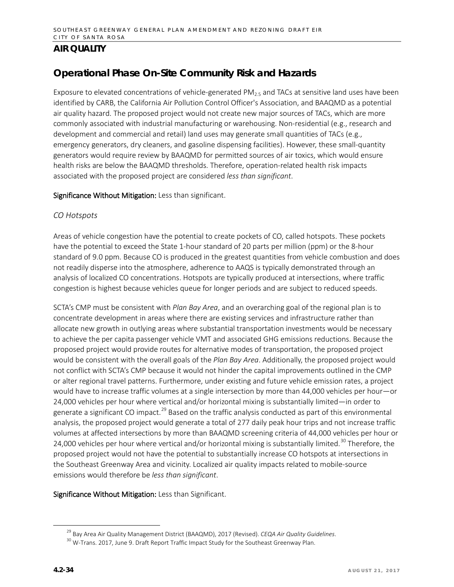## **Operational Phase On-Site Community Risk and Hazards**

Exposure to elevated concentrations of vehicle-generated PM $_{2.5}$  and TACs at sensitive land uses have been identified by CARB, the California Air Pollution Control Officer's Association, and BAAQMD as a potential air quality hazard. The proposed project would not create new major sources of TACs, which are more commonly associated with industrial manufacturing or warehousing. Non-residential (e.g., research and development and commercial and retail) land uses may generate small quantities of TACs (e.g., emergency generators, dry cleaners, and gasoline dispensing facilities). However, these small-quantity generators would require review by BAAQMD for permitted sources of air toxics, which would ensure health risks are below the BAAQMD thresholds. Therefore, operation-related health risk impacts associated with the proposed project are considered *less than significant*.

#### Significance Without Mitigation: Less than significant.

#### *CO Hotspots*

Areas of vehicle congestion have the potential to create pockets of CO, called hotspots. These pockets have the potential to exceed the State 1-hour standard of 20 parts per million (ppm) or the 8-hour standard of 9.0 ppm. Because CO is produced in the greatest quantities from vehicle combustion and does not readily disperse into the atmosphere, adherence to AAQS is typically demonstrated through an analysis of localized CO concentrations. Hotspots are typically produced at intersections, where traffic congestion is highest because vehicles queue for longer periods and are subject to reduced speeds.

SCTA's CMP must be consistent with *Plan Bay Area*, and an overarching goal of the regional plan is to concentrate development in areas where there are existing services and infrastructure rather than allocate new growth in outlying areas where substantial transportation investments would be necessary to achieve the per capita passenger vehicle VMT and associated GHG emissions reductions. Because the proposed project would provide routes for alternative modes of transportation, the proposed project would be consistent with the overall goals of the *Plan Bay Area*. Additionally, the proposed project would not conflict with SCTA's CMP because it would not hinder the capital improvements outlined in the CMP or alter regional travel patterns. Furthermore, under existing and future vehicle emission rates, a project would have to increase traffic volumes at a single intersection by more than 44,000 vehicles per hour—or 24,000 vehicles per hour where vertical and/or horizontal mixing is substantially limited—in order to generate a significant CO impact.<sup>[29](#page-33-0)</sup> Based on the traffic analysis conducted as part of this environmental analysis, the proposed project would generate a total of 277 daily peak hour trips and not increase traffic volumes at affected intersections by more than BAAQMD screening criteria of 44,000 vehicles per hour or 24,000 vehicles per hour where vertical and/or horizontal mixing is substantially limited.<sup>[30](#page-33-1)</sup> Therefore, the proposed project would not have the potential to substantially increase CO hotspots at intersections in the Southeast Greenway Area and vicinity. Localized air quality impacts related to mobile-source emissions would therefore be *less than significant*.

#### Significance Without Mitigation: Less than Significant.

 <sup>29</sup> Bay Area Air Quality Management District (BAAQMD), 2017 (Revised). *CEQA Air Quality Guidelines*.

<span id="page-33-1"></span><span id="page-33-0"></span><sup>&</sup>lt;sup>30</sup> W-Trans. 2017, June 9. Draft Report Traffic Impact Study for the Southeast Greenway Plan.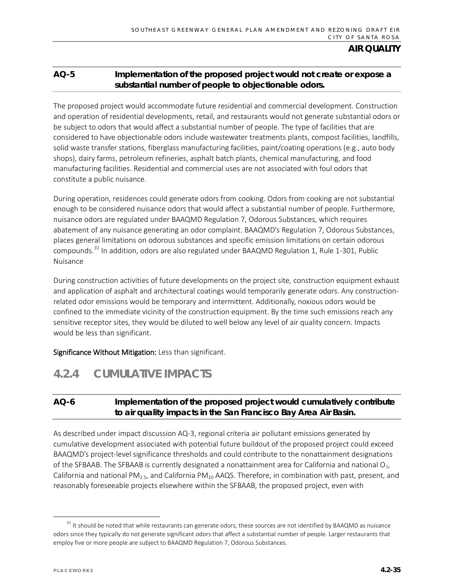### **AQ-5 Implementation of the proposed project would not create or expose a substantial number of people to objectionable odors.**

The proposed project would accommodate future residential and commercial development. Construction and operation of residential developments, retail, and restaurants would not generate substantial odors or be subject to odors that would affect a substantial number of people. The type of facilities that are considered to have objectionable odors include wastewater treatments plants, compost facilities, landfills, solid waste transfer stations, fiberglass manufacturing facilities, paint/coating operations (e.g., auto body shops), dairy farms, petroleum refineries, asphalt batch plants, chemical manufacturing, and food manufacturing facilities. Residential and commercial uses are not associated with foul odors that constitute a public nuisance.

During operation, residences could generate odors from cooking. Odors from cooking are not substantial enough to be considered nuisance odors that would affect a substantial number of people. Furthermore, nuisance odors are regulated under BAAQMD Regulation 7, Odorous Substances, which requires abatement of any nuisance generating an odor complaint. BAAQMD's Regulation 7, Odorous Substances, places general limitations on odorous substances and specific emission limitations on certain odorous compounds.*[31](#page-34-0)* In addition, odors are also regulated under BAAQMD Regulation 1, Rule 1-301, Public Nuisance

During construction activities of future developments on the project site, construction equipment exhaust and application of asphalt and architectural coatings would temporarily generate odors. Any constructionrelated odor emissions would be temporary and intermittent. Additionally, noxious odors would be confined to the immediate vicinity of the construction equipment. By the time such emissions reach any sensitive receptor sites, they would be diluted to well below any level of air quality concern. Impacts would be less than significant.

Significance Without Mitigation: Less than significant.

# **4.2.4 CUMULATIVE IMPACTS**

## **AQ-6 Implementation of the proposed project would cumulatively contribute to air quality impacts in the San Francisco Bay Area Air Basin.**

As described under impact discussion AQ-3, regional criteria air pollutant emissions generated by cumulative development associated with potential future buildout of the proposed project could exceed BAAQMD's project-level significance thresholds and could contribute to the nonattainment designations of the SFBAAB. The SFBAAB is currently designated a nonattainment area for California and national  $O_3$ , California and national PM<sub>2.5</sub>, and California PM<sub>10</sub> AAQS. Therefore, in combination with past, present, and reasonably foreseeable projects elsewhere within the SFBAAB, the proposed project, even with

<span id="page-34-0"></span> $31$  It should be noted that while restaurants can generate odors, these sources are not identified by BAAQMD as nuisance odors since they typically do not generate significant odors that affect a substantial number of people. Larger restaurants that employ five or more people are subject to BAAQMD Regulation 7, Odorous Substances.